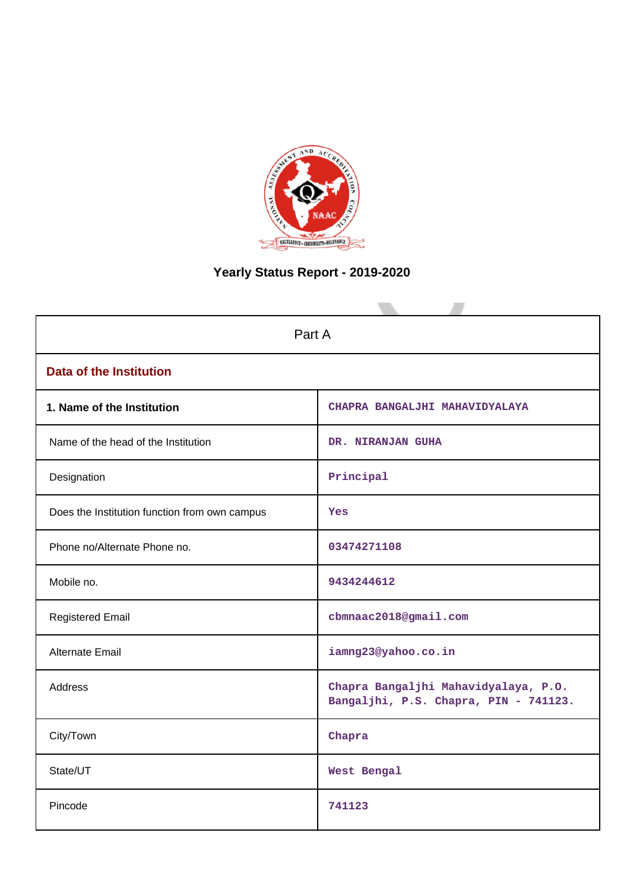

# **Yearly Status Report - 2019-2020**

| Part A                                        |                                                                               |  |  |  |  |
|-----------------------------------------------|-------------------------------------------------------------------------------|--|--|--|--|
| <b>Data of the Institution</b>                |                                                                               |  |  |  |  |
| 1. Name of the Institution                    | CHAPRA BANGALJHI MAHAVIDYALAYA                                                |  |  |  |  |
| Name of the head of the Institution           | DR. NIRANJAN GUHA                                                             |  |  |  |  |
| Designation                                   | Principal                                                                     |  |  |  |  |
| Does the Institution function from own campus | Yes                                                                           |  |  |  |  |
| Phone no/Alternate Phone no.                  | 03474271108                                                                   |  |  |  |  |
| Mobile no.                                    | 9434244612                                                                    |  |  |  |  |
| <b>Registered Email</b>                       | cbmnaac2018@gmail.com                                                         |  |  |  |  |
| <b>Alternate Email</b>                        | iamng23@yahoo.co.in                                                           |  |  |  |  |
| <b>Address</b>                                | Chapra Bangaljhi Mahavidyalaya, P.O.<br>Bangaljhi, P.S. Chapra, PIN - 741123. |  |  |  |  |
| City/Town                                     | Chapra                                                                        |  |  |  |  |
| State/UT                                      | West Bengal                                                                   |  |  |  |  |
| Pincode                                       | 741123                                                                        |  |  |  |  |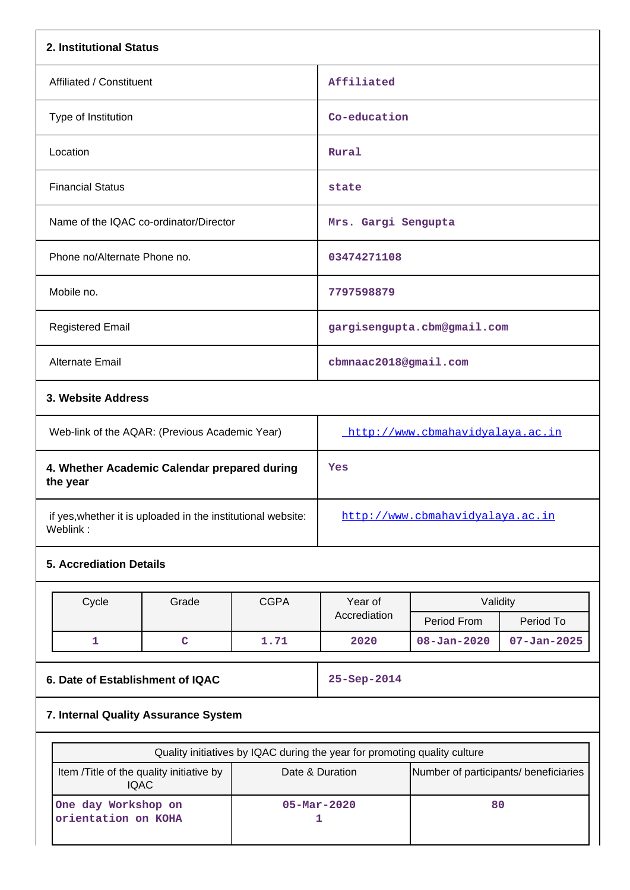| 2. Institutional Status                                  |                                                                           |             |                                     |                                                          |                   |  |  |  |
|----------------------------------------------------------|---------------------------------------------------------------------------|-------------|-------------------------------------|----------------------------------------------------------|-------------------|--|--|--|
| Affiliated / Constituent                                 |                                                                           |             | Affiliated                          |                                                          |                   |  |  |  |
| Type of Institution                                      |                                                                           |             | Co-education                        |                                                          |                   |  |  |  |
| Location                                                 |                                                                           |             | Rural                               |                                                          |                   |  |  |  |
| <b>Financial Status</b>                                  |                                                                           |             | state                               |                                                          |                   |  |  |  |
|                                                          | Name of the IQAC co-ordinator/Director                                    |             | Mrs. Gargi Sengupta                 |                                                          |                   |  |  |  |
| Phone no/Alternate Phone no.                             |                                                                           |             | 03474271108                         |                                                          |                   |  |  |  |
| Mobile no.                                               |                                                                           |             | 7797598879                          |                                                          |                   |  |  |  |
| <b>Registered Email</b>                                  |                                                                           |             |                                     | gargisengupta.cbm@gmail.com                              |                   |  |  |  |
| Alternate Email                                          |                                                                           |             | cbmnaac2018@gmail.com               |                                                          |                   |  |  |  |
|                                                          | 3. Website Address                                                        |             |                                     |                                                          |                   |  |  |  |
|                                                          | Web-link of the AQAR: (Previous Academic Year)                            |             | http://www.cbmahavidyalaya.ac.in    |                                                          |                   |  |  |  |
| 4. Whether Academic Calendar prepared during<br>the year |                                                                           |             | Yes                                 |                                                          |                   |  |  |  |
| Weblink:                                                 | if yes, whether it is uploaded in the institutional website:              |             | http://www.cbmahavidyalaya.ac.in    |                                                          |                   |  |  |  |
| <b>5. Accrediation Details</b>                           |                                                                           |             |                                     |                                                          |                   |  |  |  |
| Cycle                                                    | Grade                                                                     | <b>CGPA</b> | Year of                             | Validity                                                 |                   |  |  |  |
|                                                          |                                                                           |             | Accrediation                        | Period From                                              | Period To         |  |  |  |
| $\mathbf{1}$                                             | $\mathbf C$                                                               | 1.71        | 2020                                | $08 - Jan - 2020$                                        | $07 - Jan - 2025$ |  |  |  |
| 6. Date of Establishment of IQAC                         |                                                                           |             | 25-Sep-2014                         |                                                          |                   |  |  |  |
| 7. Internal Quality Assurance System                     |                                                                           |             |                                     |                                                          |                   |  |  |  |
|                                                          | Quality initiatives by IQAC during the year for promoting quality culture |             |                                     |                                                          |                   |  |  |  |
|                                                          | Item /Title of the quality initiative by<br><b>IQAC</b>                   |             |                                     | Date & Duration<br>Number of participants/ beneficiaries |                   |  |  |  |
| One day Workshop on<br>orientation on KOHA               |                                                                           |             | 80<br>$05 - \text{Mar} - 2020$<br>1 |                                                          |                   |  |  |  |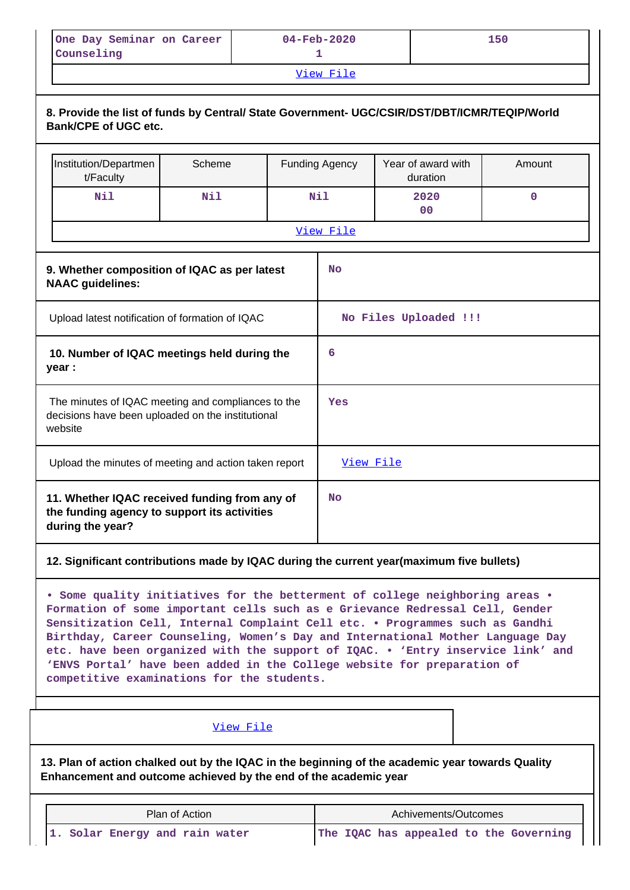| One Day Seminar on Career<br>Counseling | $04 - \text{Feb} - 2020$ | 150 |  |  |  |  |
|-----------------------------------------|--------------------------|-----|--|--|--|--|
| View File                               |                          |     |  |  |  |  |

|                                                                                                                    | 8. Provide the list of funds by Central/ State Government- UGC/CSIR/DST/DBT/ICMR/TEQIP/World<br>Bank/CPE of UGC etc. |        |                       |                                      |                                |        |  |  |  |
|--------------------------------------------------------------------------------------------------------------------|----------------------------------------------------------------------------------------------------------------------|--------|-----------------------|--------------------------------------|--------------------------------|--------|--|--|--|
|                                                                                                                    | Institution/Departmen<br>t/Faculty                                                                                   | Scheme |                       | <b>Funding Agency</b>                | Year of award with<br>duration | Amount |  |  |  |
|                                                                                                                    | Nil                                                                                                                  | Nil    |                       | <b>Nil</b><br>2020<br>0 <sup>0</sup> |                                | 0      |  |  |  |
|                                                                                                                    |                                                                                                                      |        |                       | View File                            |                                |        |  |  |  |
| 9. Whether composition of IQAC as per latest<br><b>NAAC</b> guidelines:                                            |                                                                                                                      |        |                       | No                                   |                                |        |  |  |  |
| Upload latest notification of formation of IQAC                                                                    |                                                                                                                      |        | No Files Uploaded !!! |                                      |                                |        |  |  |  |
| 10. Number of IQAC meetings held during the<br>year :                                                              |                                                                                                                      |        | 6                     |                                      |                                |        |  |  |  |
| The minutes of IQAC meeting and compliances to the<br>decisions have been uploaded on the institutional<br>website |                                                                                                                      |        |                       | Yes                                  |                                |        |  |  |  |
| Upload the minutes of meeting and action taken report                                                              |                                                                                                                      |        | View File             |                                      |                                |        |  |  |  |
| 11. Whether IQAC received funding from any of<br>the funding agency to support its activities<br>during the year?  |                                                                                                                      |        | <b>No</b>             |                                      |                                |        |  |  |  |

## **12. Significant contributions made by IQAC during the current year(maximum five bullets)**

**• Some quality initiatives for the betterment of college neighboring areas • Formation of some important cells such as e Grievance Redressal Cell, Gender Sensitization Cell, Internal Complaint Cell etc. • Programmes such as Gandhi Birthday, Career Counseling, Women's Day and International Mother Language Day etc. have been organized with the support of IQAC. • 'Entry inservice link' and 'ENVS Portal' have been added in the College website for preparation of competitive examinations for the students.**

## [View File](https://assessmentonline.naac.gov.in/public/Postacc/Contribution/19199_Contribution.xlsx)

**13. Plan of action chalked out by the IQAC in the beginning of the academic year towards Quality Enhancement and outcome achieved by the end of the academic year**

| Plan of Action                 | Achivements/Outcomes                   |  |  |  |  |
|--------------------------------|----------------------------------------|--|--|--|--|
| 1. Solar Energy and rain water | The IQAC has appealed to the Governing |  |  |  |  |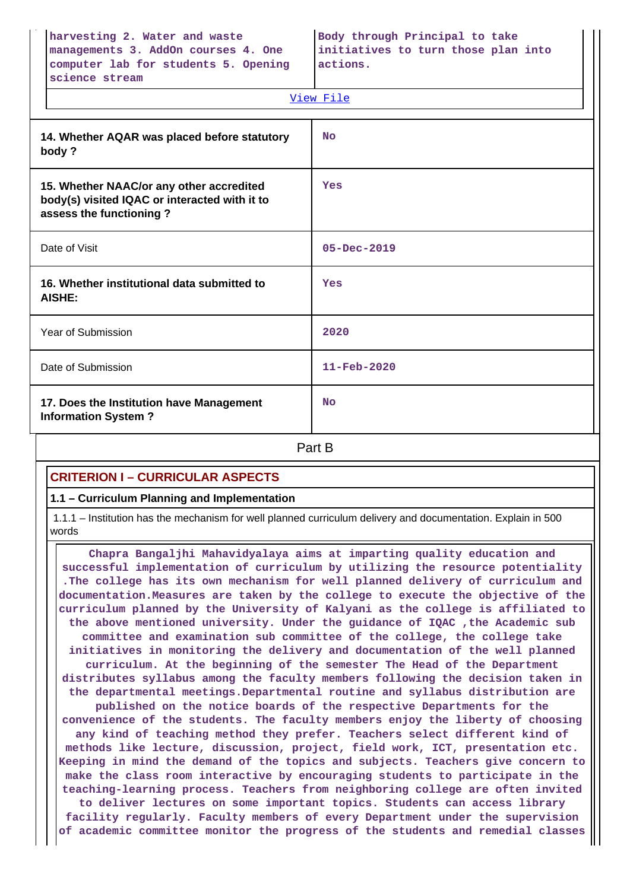| harvesting 2. Water and waste        | Body through Principal to take      |
|--------------------------------------|-------------------------------------|
| managements 3. AddOn courses 4. One  | initiatives to turn those plan into |
| computer lab for students 5. Opening | actions.                            |
| science stream                       |                                     |

|                                                                                                                      | View File         |
|----------------------------------------------------------------------------------------------------------------------|-------------------|
| 14. Whether AQAR was placed before statutory<br>body?                                                                | <b>No</b>         |
| 15. Whether NAAC/or any other accredited<br>body(s) visited IQAC or interacted with it to<br>assess the functioning? | Yes               |
| Date of Visit                                                                                                        | $05 - Dec - 2019$ |
| 16. Whether institutional data submitted to<br>AISHE:                                                                | Yes               |
| Year of Submission                                                                                                   | 2020              |
| Date of Submission                                                                                                   | 11-Feb-2020       |
| 17. Does the Institution have Management<br><b>Information System?</b>                                               | <b>No</b>         |
|                                                                                                                      | Part B            |

## **CRITERION I – CURRICULAR ASPECTS**

## **1.1 – Curriculum Planning and Implementation**

 1.1.1 – Institution has the mechanism for well planned curriculum delivery and documentation. Explain in 500 words

 **Chapra Bangaljhi Mahavidyalaya aims at imparting quality education and successful implementation of curriculum by utilizing the resource potentiality .The college has its own mechanism for well planned delivery of curriculum and documentation.Measures are taken by the college to execute the objective of the curriculum planned by the University of Kalyani as the college is affiliated to the above mentioned university. Under the guidance of IQAC ,the Academic sub committee and examination sub committee of the college, the college take initiatives in monitoring the delivery and documentation of the well planned curriculum. At the beginning of the semester The Head of the Department distributes syllabus among the faculty members following the decision taken in the departmental meetings.Departmental routine and syllabus distribution are published on the notice boards of the respective Departments for the convenience of the students. The faculty members enjoy the liberty of choosing any kind of teaching method they prefer. Teachers select different kind of methods like lecture, discussion, project, field work, ICT, presentation etc. Keeping in mind the demand of the topics and subjects. Teachers give concern to make the class room interactive by encouraging students to participate in the teaching-learning process. Teachers from neighboring college are often invited to deliver lectures on some important topics. Students can access library facility regularly. Faculty members of every Department under the supervision of academic committee monitor the progress of the students and remedial classes**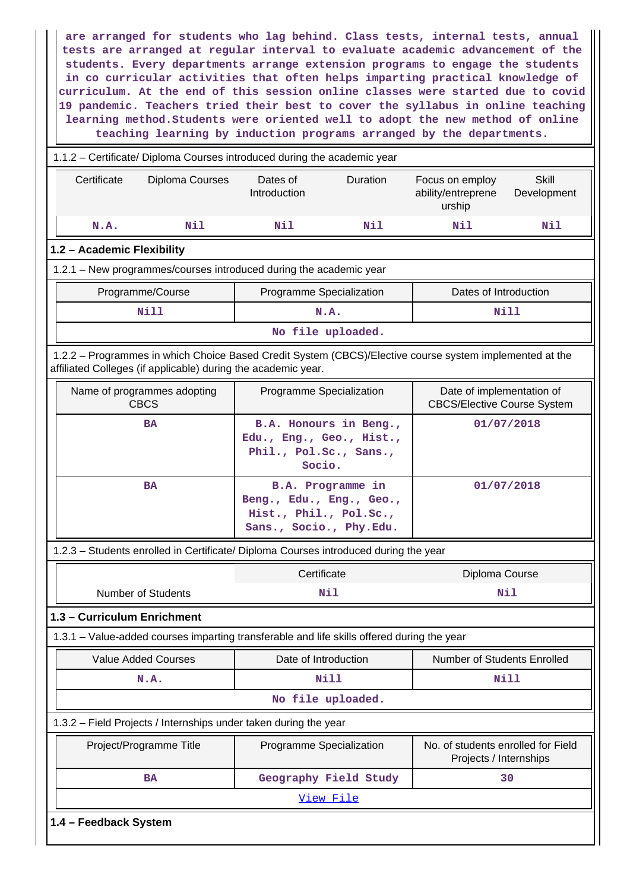**are arranged for students who lag behind. Class tests, internal tests, annual tests are arranged at regular interval to evaluate academic advancement of the students. Every departments arrange extension programs to engage the students in co curricular activities that often helps imparting practical knowledge of curriculum. At the end of this session online classes were started due to covid 19 pandemic. Teachers tried their best to cover the syllabus in online teaching learning method.Students were oriented well to adopt the new method of online teaching learning by induction programs arranged by the departments.**

| 1.1.2 - Certificate/ Diploma Courses introduced during the academic year                                                                                                 |                          |                                                                                                           |                                                                 |                             |  |  |  |  |  |
|--------------------------------------------------------------------------------------------------------------------------------------------------------------------------|--------------------------|-----------------------------------------------------------------------------------------------------------|-----------------------------------------------------------------|-----------------------------|--|--|--|--|--|
| Certificate<br>Diploma Courses                                                                                                                                           | Dates of<br>Introduction | Duration                                                                                                  | Focus on employ<br>ability/entreprene<br>urship                 | <b>Skill</b><br>Development |  |  |  |  |  |
| N.A.<br>Nil                                                                                                                                                              | Nil                      | Nil                                                                                                       | Nil                                                             | Nil                         |  |  |  |  |  |
| 1.2 - Academic Flexibility                                                                                                                                               |                          |                                                                                                           |                                                                 |                             |  |  |  |  |  |
| 1.2.1 - New programmes/courses introduced during the academic year                                                                                                       |                          |                                                                                                           |                                                                 |                             |  |  |  |  |  |
| Programme/Course<br>Dates of Introduction<br>Programme Specialization                                                                                                    |                          |                                                                                                           |                                                                 |                             |  |  |  |  |  |
| <b>Nill</b>                                                                                                                                                              |                          | N.A.                                                                                                      |                                                                 | Nill                        |  |  |  |  |  |
|                                                                                                                                                                          |                          | No file uploaded.                                                                                         |                                                                 |                             |  |  |  |  |  |
| 1.2.2 - Programmes in which Choice Based Credit System (CBCS)/Elective course system implemented at the<br>affiliated Colleges (if applicable) during the academic year. |                          |                                                                                                           |                                                                 |                             |  |  |  |  |  |
| Name of programmes adopting<br><b>CBCS</b>                                                                                                                               |                          | Programme Specialization                                                                                  | Date of implementation of<br><b>CBCS/Elective Course System</b> |                             |  |  |  |  |  |
| <b>BA</b>                                                                                                                                                                |                          | B.A. Honours in Beng.,<br>Edu., Eng., Geo., Hist.,<br>Phil., Pol.Sc., Sans.,<br>Socio.                    |                                                                 | 01/07/2018                  |  |  |  |  |  |
| <b>BA</b>                                                                                                                                                                |                          | <b>B.A. Programme in</b><br>Beng., Edu., Eng., Geo.,<br>Hist., Phil., Pol.Sc.,<br>Sans., Socio., Phy.Edu. |                                                                 | 01/07/2018                  |  |  |  |  |  |
| 1.2.3 - Students enrolled in Certificate/ Diploma Courses introduced during the year                                                                                     |                          |                                                                                                           |                                                                 |                             |  |  |  |  |  |
|                                                                                                                                                                          |                          | Certificate                                                                                               | Diploma Course                                                  |                             |  |  |  |  |  |
| <b>Number of Students</b>                                                                                                                                                |                          | Nil                                                                                                       | Nil                                                             |                             |  |  |  |  |  |
| 1.3 - Curriculum Enrichment                                                                                                                                              |                          |                                                                                                           |                                                                 |                             |  |  |  |  |  |
| 1.3.1 - Value-added courses imparting transferable and life skills offered during the year                                                                               |                          |                                                                                                           |                                                                 |                             |  |  |  |  |  |
| <b>Value Added Courses</b>                                                                                                                                               |                          | Date of Introduction                                                                                      | Number of Students Enrolled                                     |                             |  |  |  |  |  |
| N.A.                                                                                                                                                                     |                          | <b>Nill</b>                                                                                               |                                                                 | <b>Nill</b>                 |  |  |  |  |  |
|                                                                                                                                                                          |                          | No file uploaded.                                                                                         |                                                                 |                             |  |  |  |  |  |
| 1.3.2 - Field Projects / Internships under taken during the year                                                                                                         |                          |                                                                                                           |                                                                 |                             |  |  |  |  |  |
| Project/Programme Title                                                                                                                                                  |                          | Programme Specialization                                                                                  | No. of students enrolled for Field<br>Projects / Internships    |                             |  |  |  |  |  |
| <b>BA</b>                                                                                                                                                                |                          | Geography Field Study                                                                                     |                                                                 | 30                          |  |  |  |  |  |
|                                                                                                                                                                          |                          | View File                                                                                                 |                                                                 |                             |  |  |  |  |  |
| 1.4 - Feedback System                                                                                                                                                    |                          |                                                                                                           |                                                                 |                             |  |  |  |  |  |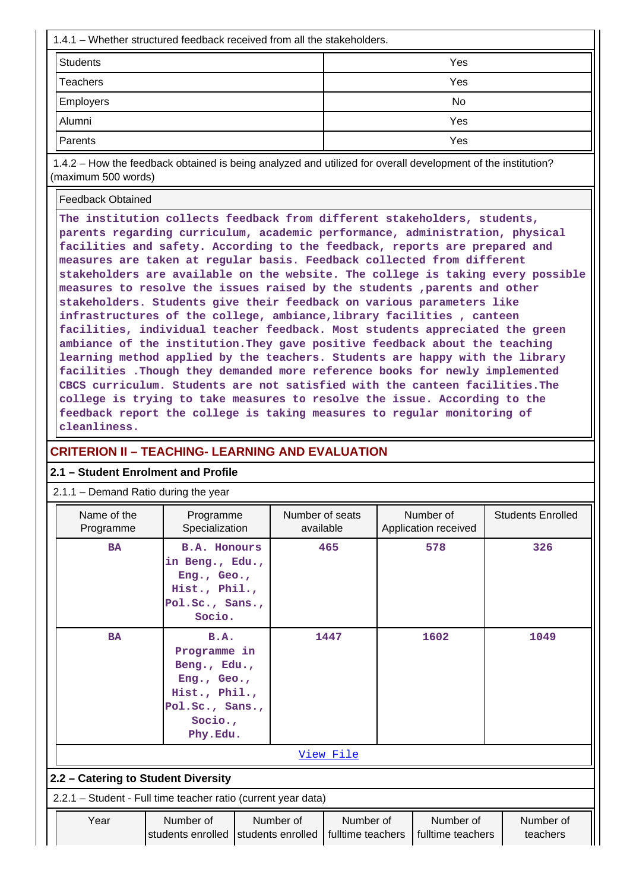| 1.4.1 – Whether structured feedback received from all the stakeholders. |     |  |  |  |  |  |
|-------------------------------------------------------------------------|-----|--|--|--|--|--|
| Students                                                                | Yes |  |  |  |  |  |
| <b>Teachers</b>                                                         | Yes |  |  |  |  |  |
| <b>Employers</b>                                                        | No  |  |  |  |  |  |
| Alumni                                                                  | Yes |  |  |  |  |  |
| Parents                                                                 | Yes |  |  |  |  |  |

 1.4.2 – How the feedback obtained is being analyzed and utilized for overall development of the institution? (maximum 500 words)

Feedback Obtained

**The institution collects feedback from different stakeholders, students, parents regarding curriculum, academic performance, administration, physical facilities and safety. According to the feedback, reports are prepared and measures are taken at regular basis. Feedback collected from different stakeholders are available on the website. The college is taking every possible measures to resolve the issues raised by the students ,parents and other stakeholders. Students give their feedback on various parameters like infrastructures of the college, ambiance,library facilities , canteen facilities, individual teacher feedback. Most students appreciated the green ambiance of the institution.They gave positive feedback about the teaching learning method applied by the teachers. Students are happy with the library facilities .Though they demanded more reference books for newly implemented CBCS curriculum. Students are not satisfied with the canteen facilities.The college is trying to take measures to resolve the issue. According to the feedback report the college is taking measures to regular monitoring of cleanliness.**

## **CRITERION II – TEACHING- LEARNING AND EVALUATION**

## **2.1 – Student Enrolment and Profile**

#### 2.1.1 – Demand Ratio during the year

| Name of the<br>Programme                                      | Programme<br>Specialization                                                                                    |                                  | Number of seats<br>available                                                              |  | Number of<br>Application received | <b>Students Enrolled</b> |  |  |  |
|---------------------------------------------------------------|----------------------------------------------------------------------------------------------------------------|----------------------------------|-------------------------------------------------------------------------------------------|--|-----------------------------------|--------------------------|--|--|--|
| <b>BA</b>                                                     | <b>B.A. Honours</b><br>in Beng., Edu.,<br>Eng., Geo.,<br>Hist., Phil.,<br>Pol.Sc., Sans.,<br>Socio.            |                                  | 465                                                                                       |  | 578                               | 326                      |  |  |  |
| <b>BA</b>                                                     | B.A.<br>Programme in<br>Beng., Edu.,<br>Eng., Geo.,<br>Hist., Phil.,<br>Pol.Sc., Sans.,<br>Socio.,<br>Phy.Edu. |                                  | 1447                                                                                      |  | 1602                              | 1049                     |  |  |  |
|                                                               |                                                                                                                |                                  | View File                                                                                 |  |                                   |                          |  |  |  |
|                                                               | 2.2 - Catering to Student Diversity                                                                            |                                  |                                                                                           |  |                                   |                          |  |  |  |
| 2.2.1 - Student - Full time teacher ratio (current year data) |                                                                                                                |                                  |                                                                                           |  |                                   |                          |  |  |  |
| Year                                                          | Number of<br>students enrolled                                                                                 | Number of<br>I students enrolled | Number of<br>Number of<br>Number of<br>fulltime teachers<br>fulltime teachers<br>teachers |  |                                   |                          |  |  |  |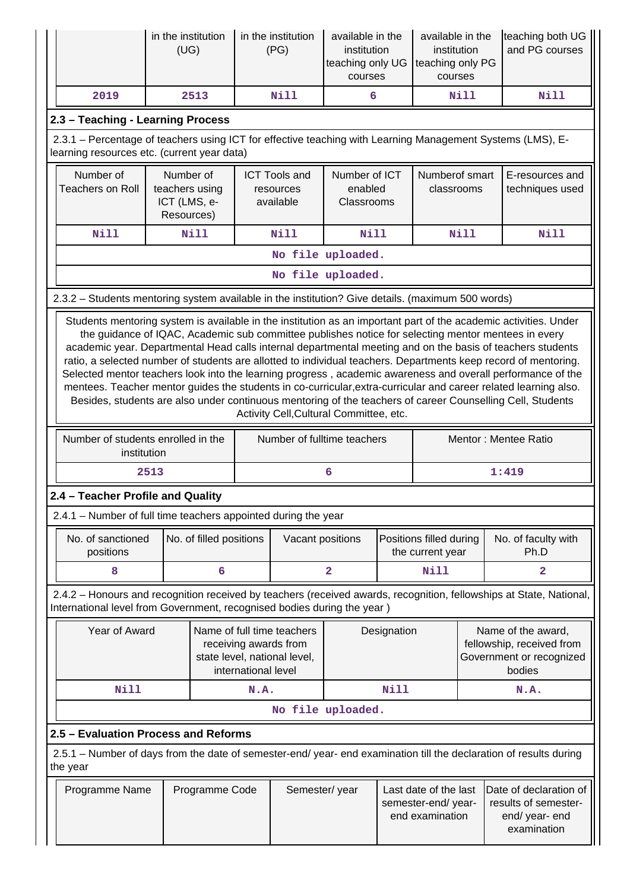|                                                                                                                                | in the institution<br>(UG)                                                                                                                                                                                                                                                                                                                                                                                                                                                                                                                                                                                                                                                                                                       |                         |                     | in the institution<br>(PG)                                                          | available in the<br>institution<br>teaching only UG<br>courses |             | available in the<br>institution<br>teaching only PG<br>courses  |             | teaching both UG<br>and PG courses                                                                                  |
|--------------------------------------------------------------------------------------------------------------------------------|----------------------------------------------------------------------------------------------------------------------------------------------------------------------------------------------------------------------------------------------------------------------------------------------------------------------------------------------------------------------------------------------------------------------------------------------------------------------------------------------------------------------------------------------------------------------------------------------------------------------------------------------------------------------------------------------------------------------------------|-------------------------|---------------------|-------------------------------------------------------------------------------------|----------------------------------------------------------------|-------------|-----------------------------------------------------------------|-------------|---------------------------------------------------------------------------------------------------------------------|
| 2019                                                                                                                           |                                                                                                                                                                                                                                                                                                                                                                                                                                                                                                                                                                                                                                                                                                                                  | 2513                    |                     | <b>Nill</b>                                                                         | 6                                                              |             |                                                                 | <b>Nill</b> | Nill                                                                                                                |
| 2.3 - Teaching - Learning Process                                                                                              |                                                                                                                                                                                                                                                                                                                                                                                                                                                                                                                                                                                                                                                                                                                                  |                         |                     |                                                                                     |                                                                |             |                                                                 |             |                                                                                                                     |
|                                                                                                                                | 2.3.1 - Percentage of teachers using ICT for effective teaching with Learning Management Systems (LMS), E-<br>learning resources etc. (current year data)                                                                                                                                                                                                                                                                                                                                                                                                                                                                                                                                                                        |                         |                     |                                                                                     |                                                                |             |                                                                 |             |                                                                                                                     |
| Number of<br><b>Teachers on Roll</b>                                                                                           | Number of<br>teachers using<br>ICT (LMS, e-<br>Resources)                                                                                                                                                                                                                                                                                                                                                                                                                                                                                                                                                                                                                                                                        |                         |                     | <b>ICT Tools and</b><br>resources<br>available                                      | Number of ICT<br>enabled<br>Classrooms                         |             | Numberof smart<br>classrooms                                    |             | E-resources and<br>techniques used                                                                                  |
| Nill                                                                                                                           |                                                                                                                                                                                                                                                                                                                                                                                                                                                                                                                                                                                                                                                                                                                                  | <b>Nill</b>             |                     | <b>Nill</b>                                                                         | <b>Nill</b>                                                    |             |                                                                 | Nill        | Nill                                                                                                                |
|                                                                                                                                |                                                                                                                                                                                                                                                                                                                                                                                                                                                                                                                                                                                                                                                                                                                                  |                         |                     | No file uploaded.                                                                   |                                                                |             |                                                                 |             |                                                                                                                     |
|                                                                                                                                |                                                                                                                                                                                                                                                                                                                                                                                                                                                                                                                                                                                                                                                                                                                                  |                         |                     | No file uploaded.                                                                   |                                                                |             |                                                                 |             |                                                                                                                     |
| 2.3.2 - Students mentoring system available in the institution? Give details. (maximum 500 words)                              |                                                                                                                                                                                                                                                                                                                                                                                                                                                                                                                                                                                                                                                                                                                                  |                         |                     |                                                                                     |                                                                |             |                                                                 |             |                                                                                                                     |
|                                                                                                                                | the guidance of IQAC, Academic sub committee publishes notice for selecting mentor mentees in every<br>academic year. Departmental Head calls internal departmental meeting and on the basis of teachers students<br>ratio, a selected number of students are allotted to individual teachers. Departments keep record of mentoring.<br>Selected mentor teachers look into the learning progress, academic awareness and overall performance of the<br>mentees. Teacher mentor guides the students in co-curricular, extra-curricular and career related learning also.<br>Besides, students are also under continuous mentoring of the teachers of career Counselling Cell, Students<br>Activity Cell, Cultural Committee, etc. |                         |                     |                                                                                     |                                                                |             |                                                                 |             |                                                                                                                     |
| Number of students enrolled in the                                                                                             | institution                                                                                                                                                                                                                                                                                                                                                                                                                                                                                                                                                                                                                                                                                                                      |                         |                     | Number of fulltime teachers                                                         |                                                                |             |                                                                 |             | Mentor: Mentee Ratio                                                                                                |
|                                                                                                                                | 2513                                                                                                                                                                                                                                                                                                                                                                                                                                                                                                                                                                                                                                                                                                                             |                         |                     |                                                                                     | 6                                                              |             |                                                                 |             | 1:419                                                                                                               |
| 2.4 - Teacher Profile and Quality                                                                                              |                                                                                                                                                                                                                                                                                                                                                                                                                                                                                                                                                                                                                                                                                                                                  |                         |                     |                                                                                     |                                                                |             |                                                                 |             |                                                                                                                     |
| 2.4.1 – Number of full time teachers appointed during the year                                                                 |                                                                                                                                                                                                                                                                                                                                                                                                                                                                                                                                                                                                                                                                                                                                  |                         |                     |                                                                                     |                                                                |             |                                                                 |             |                                                                                                                     |
| No. of sanctioned<br>positions                                                                                                 |                                                                                                                                                                                                                                                                                                                                                                                                                                                                                                                                                                                                                                                                                                                                  | No. of filled positions |                     | Vacant positions                                                                    |                                                                |             | Positions filled during<br>the current year                     |             | No. of faculty with<br>Ph.D                                                                                         |
| 8                                                                                                                              |                                                                                                                                                                                                                                                                                                                                                                                                                                                                                                                                                                                                                                                                                                                                  | 6                       |                     |                                                                                     | $\overline{\mathbf{2}}$                                        |             | <b>Nill</b>                                                     |             | 2                                                                                                                   |
| International level from Government, recognised bodies during the year )                                                       |                                                                                                                                                                                                                                                                                                                                                                                                                                                                                                                                                                                                                                                                                                                                  |                         |                     |                                                                                     |                                                                |             |                                                                 |             | 2.4.2 - Honours and recognition received by teachers (received awards, recognition, fellowships at State, National, |
| Year of Award                                                                                                                  |                                                                                                                                                                                                                                                                                                                                                                                                                                                                                                                                                                                                                                                                                                                                  |                         | international level | Name of full time teachers<br>receiving awards from<br>state level, national level, |                                                                | Designation |                                                                 |             | Name of the award,<br>fellowship, received from<br>Government or recognized<br>bodies                               |
| <b>Nill</b>                                                                                                                    |                                                                                                                                                                                                                                                                                                                                                                                                                                                                                                                                                                                                                                                                                                                                  |                         | N.A.                |                                                                                     |                                                                | Nill        |                                                                 |             | N.A.                                                                                                                |
|                                                                                                                                |                                                                                                                                                                                                                                                                                                                                                                                                                                                                                                                                                                                                                                                                                                                                  |                         |                     | No file uploaded.                                                                   |                                                                |             |                                                                 |             |                                                                                                                     |
| 2.5 - Evaluation Process and Reforms                                                                                           |                                                                                                                                                                                                                                                                                                                                                                                                                                                                                                                                                                                                                                                                                                                                  |                         |                     |                                                                                     |                                                                |             |                                                                 |             |                                                                                                                     |
| 2.5.1 – Number of days from the date of semester-end/ year- end examination till the declaration of results during<br>the year |                                                                                                                                                                                                                                                                                                                                                                                                                                                                                                                                                                                                                                                                                                                                  |                         |                     |                                                                                     |                                                                |             |                                                                 |             |                                                                                                                     |
| Programme Name                                                                                                                 |                                                                                                                                                                                                                                                                                                                                                                                                                                                                                                                                                                                                                                                                                                                                  | Programme Code          |                     | Semester/year                                                                       |                                                                |             | Last date of the last<br>semester-end/ year-<br>end examination |             | Date of declaration of<br>results of semester-<br>end/ year- end<br>examination                                     |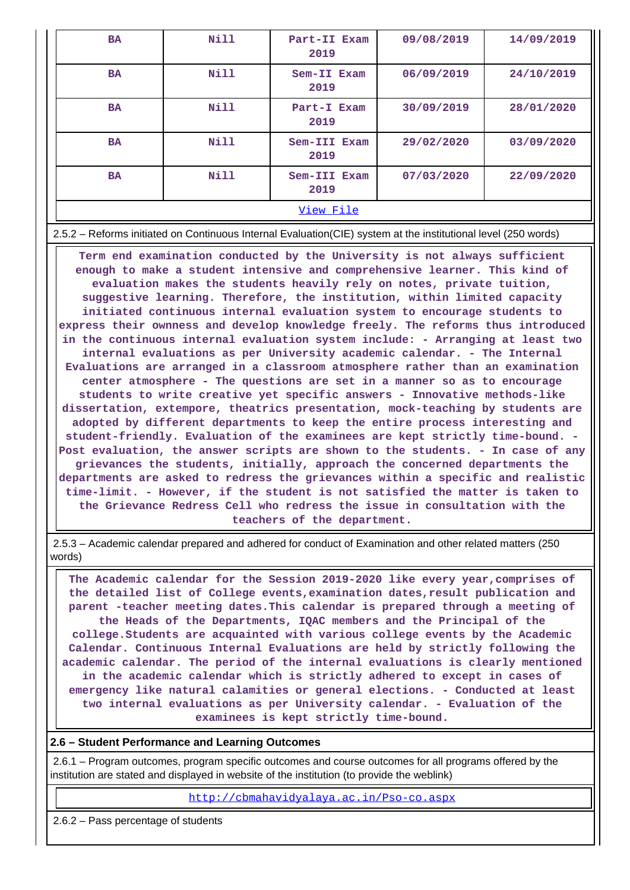| <b>BA</b> | Nill | Part-II Exam<br>2019 | 09/08/2019 | 14/09/2019 |  |  |
|-----------|------|----------------------|------------|------------|--|--|
| <b>BA</b> | Nill | Sem-II Exam<br>2019  | 06/09/2019 | 24/10/2019 |  |  |
| <b>BA</b> | Nill | Part-I Exam<br>2019  | 30/09/2019 | 28/01/2020 |  |  |
| <b>BA</b> | Nill | Sem-III Exam<br>2019 | 29/02/2020 | 03/09/2020 |  |  |
| <b>BA</b> | Nill | Sem-III Exam<br>2019 | 07/03/2020 | 22/09/2020 |  |  |
| View File |      |                      |            |            |  |  |

2.5.2 – Reforms initiated on Continuous Internal Evaluation(CIE) system at the institutional level (250 words)

 **Term end examination conducted by the University is not always sufficient enough to make a student intensive and comprehensive learner. This kind of evaluation makes the students heavily rely on notes, private tuition, suggestive learning. Therefore, the institution, within limited capacity initiated continuous internal evaluation system to encourage students to express their ownness and develop knowledge freely. The reforms thus introduced in the continuous internal evaluation system include: - Arranging at least two internal evaluations as per University academic calendar. - The Internal Evaluations are arranged in a classroom atmosphere rather than an examination center atmosphere - The questions are set in a manner so as to encourage students to write creative yet specific answers - Innovative methods-like dissertation, extempore, theatrics presentation, mock-teaching by students are adopted by different departments to keep the entire process interesting and student-friendly. Evaluation of the examinees are kept strictly time-bound. - Post evaluation, the answer scripts are shown to the students. - In case of any grievances the students, initially, approach the concerned departments the departments are asked to redress the grievances within a specific and realistic time-limit. - However, if the student is not satisfied the matter is taken to the Grievance Redress Cell who redress the issue in consultation with the teachers of the department.**

 2.5.3 – Academic calendar prepared and adhered for conduct of Examination and other related matters (250 words)

 **The Academic calendar for the Session 2019-2020 like every year,comprises of the detailed list of College events,examination dates,result publication and parent -teacher meeting dates.This calendar is prepared through a meeting of the Heads of the Departments, IQAC members and the Principal of the college.Students are acquainted with various college events by the Academic Calendar. Continuous Internal Evaluations are held by strictly following the academic calendar. The period of the internal evaluations is clearly mentioned in the academic calendar which is strictly adhered to except in cases of emergency like natural calamities or general elections. - Conducted at least two internal evaluations as per University calendar. - Evaluation of the examinees is kept strictly time-bound.**

## **2.6 – Student Performance and Learning Outcomes**

 2.6.1 – Program outcomes, program specific outcomes and course outcomes for all programs offered by the institution are stated and displayed in website of the institution (to provide the weblink)

<http://cbmahavidyalaya.ac.in/Pso-co.aspx>

2.6.2 – Pass percentage of students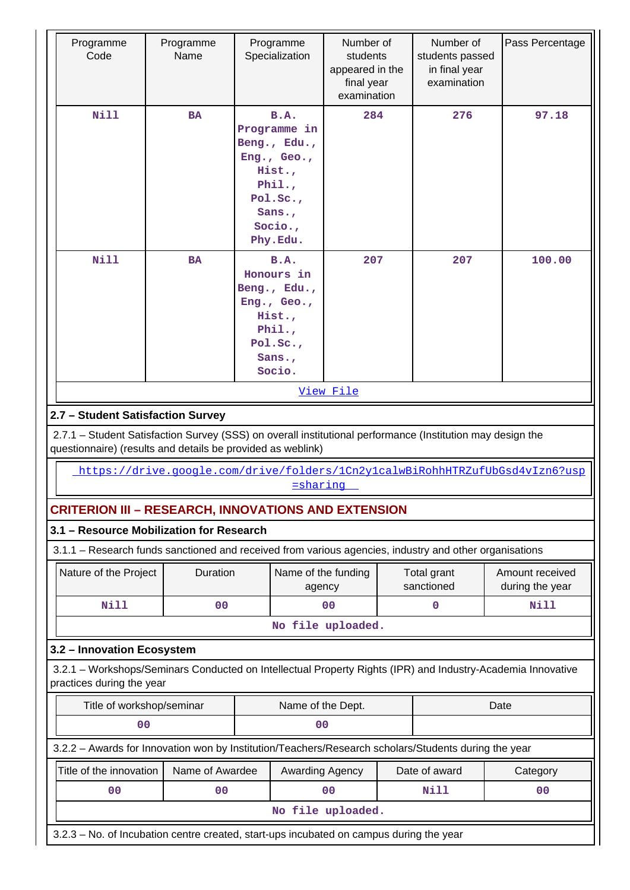| Nill<br><b>B.A.</b><br>284<br>276<br><b>BA</b><br>Programme in<br>Beng., Edu.,<br>Eng., Geo.,<br>Hist.,                                                                   | 97.18                              |  |  |  |  |  |  |  |
|---------------------------------------------------------------------------------------------------------------------------------------------------------------------------|------------------------------------|--|--|--|--|--|--|--|
| Phi.<br>Pol.Sc.<br>Sans.,<br>Socio.,<br>Phy.Edu.                                                                                                                          |                                    |  |  |  |  |  |  |  |
| N11<br>207<br><b>BA</b><br><b>B.A.</b><br>207<br>Honours in<br>Beng., Edu.,<br>Eng., Geo.,<br>Hist.,<br>Phil.,<br>Pol.Sc.,<br>Sans.,<br>Socio.                            | 100.00                             |  |  |  |  |  |  |  |
| View File                                                                                                                                                                 |                                    |  |  |  |  |  |  |  |
| 2.7 - Student Satisfaction Survey                                                                                                                                         |                                    |  |  |  |  |  |  |  |
| 2.7.1 - Student Satisfaction Survey (SSS) on overall institutional performance (Institution may design the<br>questionnaire) (results and details be provided as weblink) |                                    |  |  |  |  |  |  |  |
| https://drive.google.com/drive/folders/1Cn2y1calwBiRohhHTRZufUbGsd4vIzn6?usp<br>sharing                                                                                   |                                    |  |  |  |  |  |  |  |
| <b>CRITERION III - RESEARCH, INNOVATIONS AND EXTENSION</b>                                                                                                                |                                    |  |  |  |  |  |  |  |
| 3.1 - Resource Mobilization for Research                                                                                                                                  |                                    |  |  |  |  |  |  |  |
| 3.1.1 - Research funds sanctioned and received from various agencies, industry and other organisations                                                                    |                                    |  |  |  |  |  |  |  |
| Nature of the Project<br>Duration<br>Name of the funding<br>Total grant<br>sanctioned<br>agency                                                                           | Amount received<br>during the year |  |  |  |  |  |  |  |
| <b>Nill</b><br>0 <sup>0</sup><br>0 <sub>0</sub><br>0                                                                                                                      | <b>Nill</b>                        |  |  |  |  |  |  |  |
| No file uploaded.                                                                                                                                                         |                                    |  |  |  |  |  |  |  |
| 3.2 - Innovation Ecosystem                                                                                                                                                |                                    |  |  |  |  |  |  |  |
| 3.2.1 - Workshops/Seminars Conducted on Intellectual Property Rights (IPR) and Industry-Academia Innovative<br>practices during the year                                  |                                    |  |  |  |  |  |  |  |
| Title of workshop/seminar<br>Name of the Dept.<br>Date                                                                                                                    |                                    |  |  |  |  |  |  |  |
| 0 <sub>0</sub><br>00                                                                                                                                                      |                                    |  |  |  |  |  |  |  |
| 3.2.2 - Awards for Innovation won by Institution/Teachers/Research scholars/Students during the year                                                                      |                                    |  |  |  |  |  |  |  |
| Name of Awardee<br>Title of the innovation<br>Awarding Agency<br>Date of award                                                                                            | Category                           |  |  |  |  |  |  |  |
| 00<br>0 <sub>0</sub><br>0 <sub>0</sub><br>Nill                                                                                                                            | 00                                 |  |  |  |  |  |  |  |
| No file uploaded.<br>3.2.3 - No. of Incubation centre created, start-ups incubated on campus during the year                                                              |                                    |  |  |  |  |  |  |  |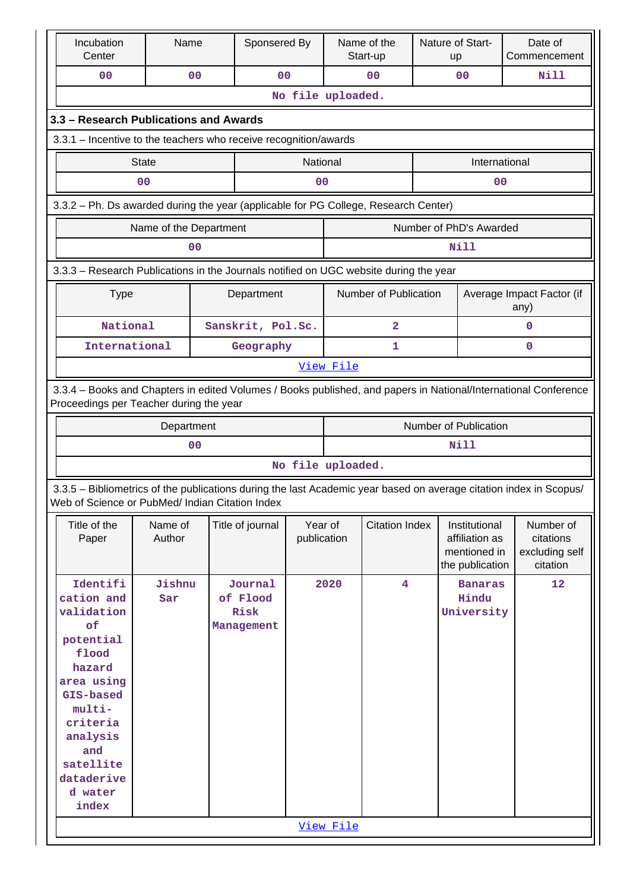| Incubation<br>Center                                                                  | Name                   |                | Sponsered By      |                   |           | Name of the<br>Start-up |  | Nature of Start-<br>up          | Date of<br>Commencement                                                                                            |  |
|---------------------------------------------------------------------------------------|------------------------|----------------|-------------------|-------------------|-----------|-------------------------|--|---------------------------------|--------------------------------------------------------------------------------------------------------------------|--|
| 00                                                                                    |                        | 0 <sub>0</sub> | 0 <sub>0</sub>    |                   |           | 0 <sub>0</sub>          |  | 00                              | Nill                                                                                                               |  |
| No file uploaded.                                                                     |                        |                |                   |                   |           |                         |  |                                 |                                                                                                                    |  |
| 3.3 - Research Publications and Awards                                                |                        |                |                   |                   |           |                         |  |                                 |                                                                                                                    |  |
|                                                                                       |                        |                |                   |                   |           |                         |  |                                 |                                                                                                                    |  |
| 3.3.1 - Incentive to the teachers who receive recognition/awards                      |                        |                |                   |                   |           |                         |  |                                 |                                                                                                                    |  |
|                                                                                       | <b>State</b>           |                |                   | National          |           |                         |  | International                   |                                                                                                                    |  |
| 00<br>00<br>00                                                                        |                        |                |                   |                   |           |                         |  |                                 |                                                                                                                    |  |
| 3.3.2 - Ph. Ds awarded during the year (applicable for PG College, Research Center)   |                        |                |                   |                   |           |                         |  |                                 |                                                                                                                    |  |
|                                                                                       | Name of the Department |                |                   |                   |           |                         |  | Number of PhD's Awarded         |                                                                                                                    |  |
|                                                                                       |                        | 0 <sub>0</sub> |                   |                   |           |                         |  | Nill                            |                                                                                                                    |  |
|                                                                                       |                        |                |                   |                   |           |                         |  |                                 |                                                                                                                    |  |
| 3.3.3 - Research Publications in the Journals notified on UGC website during the year |                        |                |                   |                   |           |                         |  |                                 |                                                                                                                    |  |
| <b>Type</b>                                                                           |                        |                | Department        |                   |           | Number of Publication   |  |                                 | Average Impact Factor (if<br>any)                                                                                  |  |
| National                                                                              |                        |                | Sanskrit, Pol.Sc. |                   |           | $\overline{\mathbf{2}}$ |  |                                 | $\mathbf 0$                                                                                                        |  |
| International                                                                         |                        |                | Geography         |                   |           | 1                       |  |                                 | $\mathbf 0$                                                                                                        |  |
|                                                                                       |                        |                |                   |                   | View File |                         |  |                                 |                                                                                                                    |  |
|                                                                                       |                        |                |                   |                   |           |                         |  |                                 |                                                                                                                    |  |
| Proceedings per Teacher during the year                                               |                        |                |                   |                   |           |                         |  |                                 | 3.3.4 - Books and Chapters in edited Volumes / Books published, and papers in National/International Conference    |  |
|                                                                                       | Department             |                |                   |                   |           |                         |  | Number of Publication           |                                                                                                                    |  |
|                                                                                       |                        | 0 <sub>0</sub> |                   |                   | Nill      |                         |  |                                 |                                                                                                                    |  |
|                                                                                       |                        |                |                   | No file uploaded. |           |                         |  |                                 |                                                                                                                    |  |
|                                                                                       |                        |                |                   |                   |           |                         |  |                                 | 3.3.5 - Bibliometrics of the publications during the last Academic year based on average citation index in Scopus/ |  |
| Web of Science or PubMed/ Indian Citation Index                                       |                        |                |                   |                   |           |                         |  |                                 |                                                                                                                    |  |
| Title of the                                                                          | Name of                |                | Title of journal  | Year of           |           | <b>Citation Index</b>   |  | Institutional                   | Number of                                                                                                          |  |
| Paper                                                                                 | Author                 |                |                   | publication       |           |                         |  | affiliation as                  | citations                                                                                                          |  |
|                                                                                       |                        |                |                   |                   |           |                         |  | mentioned in<br>the publication | excluding self<br>citation                                                                                         |  |
| Identifi                                                                              | Jishnu                 |                | Journal           |                   | 2020      | $\overline{4}$          |  | <b>Banaras</b>                  | 12                                                                                                                 |  |
| cation and                                                                            | Sar                    |                | of Flood          |                   |           |                         |  | Hindu                           |                                                                                                                    |  |
| validation                                                                            |                        |                | Risk              |                   |           |                         |  | University                      |                                                                                                                    |  |
| of                                                                                    |                        |                | Management        |                   |           |                         |  |                                 |                                                                                                                    |  |
| potential                                                                             |                        |                |                   |                   |           |                         |  |                                 |                                                                                                                    |  |
| flood                                                                                 |                        |                |                   |                   |           |                         |  |                                 |                                                                                                                    |  |
| hazard                                                                                |                        |                |                   |                   |           |                         |  |                                 |                                                                                                                    |  |
| area using                                                                            |                        |                |                   |                   |           |                         |  |                                 |                                                                                                                    |  |
| GIS-based<br>multi-                                                                   |                        |                |                   |                   |           |                         |  |                                 |                                                                                                                    |  |
| criteria                                                                              |                        |                |                   |                   |           |                         |  |                                 |                                                                                                                    |  |
| analysis                                                                              |                        |                |                   |                   |           |                         |  |                                 |                                                                                                                    |  |
| and                                                                                   |                        |                |                   |                   |           |                         |  |                                 |                                                                                                                    |  |
| satellite                                                                             |                        |                |                   |                   |           |                         |  |                                 |                                                                                                                    |  |
| dataderive                                                                            |                        |                |                   |                   |           |                         |  |                                 |                                                                                                                    |  |
| d water                                                                               |                        |                |                   |                   |           |                         |  |                                 |                                                                                                                    |  |
| index                                                                                 |                        |                |                   |                   |           |                         |  |                                 |                                                                                                                    |  |
|                                                                                       |                        |                |                   |                   | View File |                         |  |                                 |                                                                                                                    |  |
|                                                                                       |                        |                |                   |                   |           |                         |  |                                 |                                                                                                                    |  |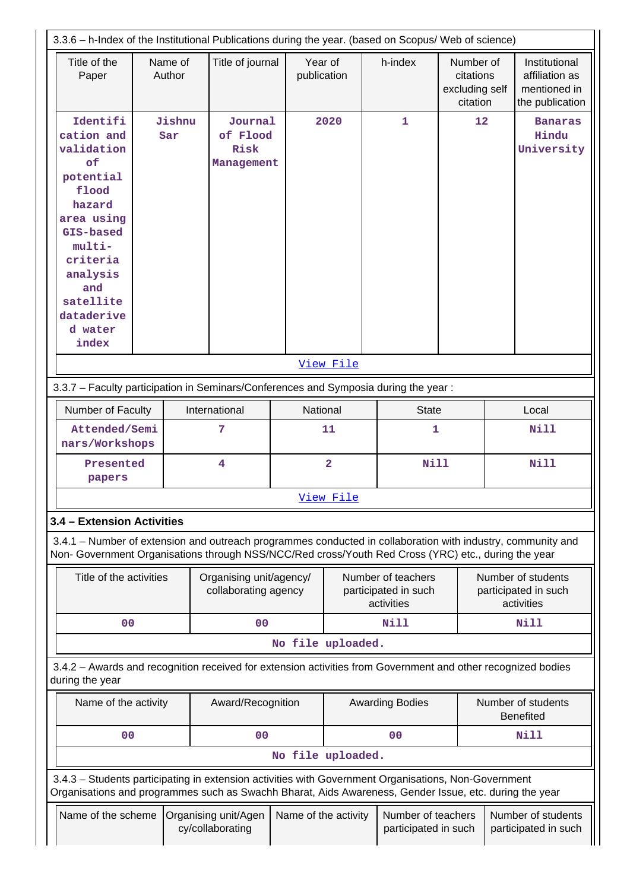| 3.3.6 - h-Index of the Institutional Publications during the year. (based on Scopus/ Web of science)                                                                     |  |                   |                                                 |                         |                                                          |                                            |                        |                                                          |                                            |                                                                                                             |
|--------------------------------------------------------------------------------------------------------------------------------------------------------------------------|--|-------------------|-------------------------------------------------|-------------------------|----------------------------------------------------------|--------------------------------------------|------------------------|----------------------------------------------------------|--------------------------------------------|-------------------------------------------------------------------------------------------------------------|
| Title of the<br>Paper                                                                                                                                                    |  | Name of<br>Author | Title of journal                                | Year of<br>publication  |                                                          |                                            | h-index                | Number of<br>citations<br>excluding self<br>citation     |                                            | Institutional<br>affiliation as<br>mentioned in<br>the publication                                          |
| Identifi<br>cation and<br>validation<br>of<br>potential<br>flood<br>hazard<br>area using<br>GIS-based<br>multi-<br>criteria<br>analysis                                  |  | Jishnu<br>Sar     | Journal<br>of Flood<br>Risk<br>Management       |                         | 2020                                                     |                                            | 1                      | 12                                                       |                                            | <b>Banaras</b><br>Hindu<br>University                                                                       |
| and<br>satellite<br>dataderive<br>d water<br>index                                                                                                                       |  |                   |                                                 |                         |                                                          |                                            |                        |                                                          |                                            |                                                                                                             |
|                                                                                                                                                                          |  |                   |                                                 |                         |                                                          |                                            |                        |                                                          |                                            |                                                                                                             |
| View File                                                                                                                                                                |  |                   |                                                 |                         |                                                          |                                            |                        |                                                          |                                            |                                                                                                             |
| 3.3.7 - Faculty participation in Seminars/Conferences and Symposia during the year:                                                                                      |  |                   |                                                 |                         |                                                          |                                            |                        |                                                          |                                            |                                                                                                             |
| Number of Faculty                                                                                                                                                        |  |                   | International                                   | National                |                                                          |                                            | <b>State</b>           |                                                          | Local                                      |                                                                                                             |
| Attended/Semi<br>nars/Workshops                                                                                                                                          |  |                   | 7                                               | 11                      |                                                          |                                            | 1                      |                                                          |                                            | Nill                                                                                                        |
| Presented<br>papers                                                                                                                                                      |  |                   | 4                                               | $\overline{\mathbf{2}}$ |                                                          |                                            | Nill                   |                                                          |                                            | <b>Nill</b>                                                                                                 |
|                                                                                                                                                                          |  |                   |                                                 |                         | View File                                                |                                            |                        |                                                          |                                            |                                                                                                             |
| 3.4 - Extension Activities                                                                                                                                               |  |                   |                                                 |                         |                                                          |                                            |                        |                                                          |                                            |                                                                                                             |
| Non- Government Organisations through NSS/NCC/Red cross/Youth Red Cross (YRC) etc., during the year                                                                      |  |                   |                                                 |                         |                                                          |                                            |                        |                                                          |                                            | 3.4.1 – Number of extension and outreach programmes conducted in collaboration with industry, community and |
| Title of the activities                                                                                                                                                  |  |                   | Organising unit/agency/<br>collaborating agency |                         | Number of teachers<br>participated in such<br>activities |                                            |                        | Number of students<br>participated in such<br>activities |                                            |                                                                                                             |
| 0 <sub>0</sub>                                                                                                                                                           |  |                   | 0 <sub>0</sub>                                  |                         |                                                          |                                            | Nill                   |                                                          |                                            | <b>Nill</b>                                                                                                 |
|                                                                                                                                                                          |  |                   |                                                 | No file uploaded.       |                                                          |                                            |                        |                                                          |                                            |                                                                                                             |
| 3.4.2 - Awards and recognition received for extension activities from Government and other recognized bodies<br>during the year                                          |  |                   |                                                 |                         |                                                          |                                            |                        |                                                          |                                            |                                                                                                             |
| Name of the activity                                                                                                                                                     |  |                   | Award/Recognition                               |                         |                                                          |                                            | <b>Awarding Bodies</b> |                                                          |                                            | Number of students<br><b>Benefited</b>                                                                      |
| 0 <sub>0</sub>                                                                                                                                                           |  |                   | 00                                              |                         |                                                          |                                            | 0 <sub>0</sub>         |                                                          |                                            | <b>Nill</b>                                                                                                 |
|                                                                                                                                                                          |  |                   |                                                 | No file uploaded.       |                                                          |                                            |                        |                                                          |                                            |                                                                                                             |
| 3.4.3 - Students participating in extension activities with Government Organisations, Non-Government                                                                     |  |                   |                                                 |                         |                                                          |                                            |                        |                                                          |                                            |                                                                                                             |
| Organisations and programmes such as Swachh Bharat, Aids Awareness, Gender Issue, etc. during the year<br>Name of the scheme<br>Organising unit/Agen<br>cy/collaborating |  |                   | Name of the activity                            |                         |                                                          | Number of teachers<br>participated in such |                        |                                                          | Number of students<br>participated in such |                                                                                                             |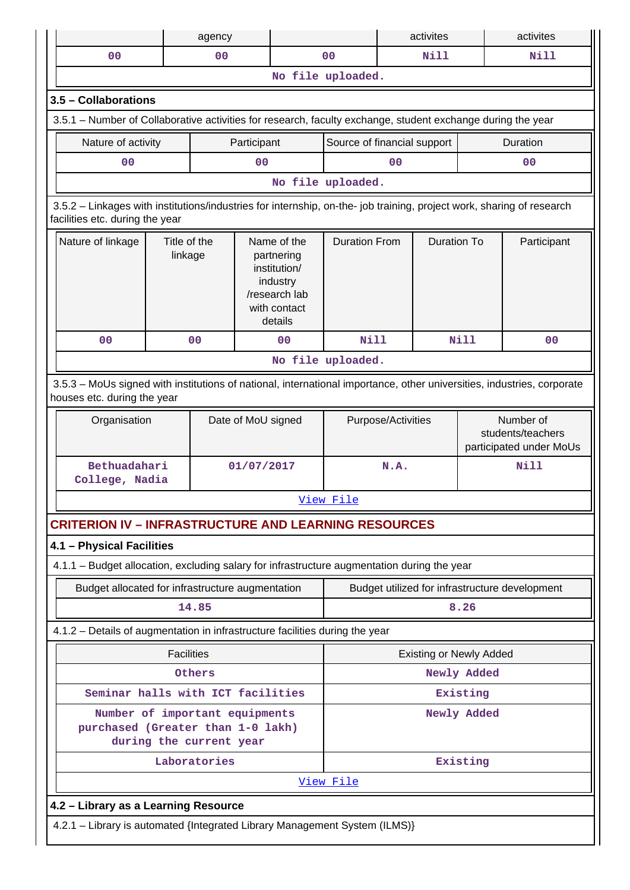|                                                                                                                                                          |                   | agency                  |                    |                                                                                                   |                                                |                | activites                                                 |             | activites      |
|----------------------------------------------------------------------------------------------------------------------------------------------------------|-------------------|-------------------------|--------------------|---------------------------------------------------------------------------------------------------|------------------------------------------------|----------------|-----------------------------------------------------------|-------------|----------------|
| 0 <sup>0</sup>                                                                                                                                           |                   | 0 <sub>0</sub>          |                    |                                                                                                   | 0 <sub>0</sub>                                 |                | <b>Nill</b>                                               |             | Nill           |
|                                                                                                                                                          |                   |                         |                    |                                                                                                   | No file uploaded.                              |                |                                                           |             |                |
| 3.5 - Collaborations                                                                                                                                     |                   |                         |                    |                                                                                                   |                                                |                |                                                           |             |                |
| 3.5.1 – Number of Collaborative activities for research, faculty exchange, student exchange during the year                                              |                   |                         |                    |                                                                                                   |                                                |                |                                                           |             |                |
| Nature of activity                                                                                                                                       |                   |                         | Participant        |                                                                                                   | Source of financial support                    |                |                                                           |             | Duration       |
| 0 <sup>0</sup>                                                                                                                                           |                   |                         | 0 <sub>0</sub>     |                                                                                                   |                                                | 0 <sub>0</sub> |                                                           |             | 0 <sub>0</sub> |
|                                                                                                                                                          |                   |                         |                    |                                                                                                   | No file uploaded.                              |                |                                                           |             |                |
| 3.5.2 - Linkages with institutions/industries for internship, on-the- job training, project work, sharing of research<br>facilities etc. during the year |                   |                         |                    |                                                                                                   |                                                |                |                                                           |             |                |
| Nature of linkage<br>Title of the<br>linkage                                                                                                             |                   |                         |                    | Name of the<br>partnering<br>institution/<br>industry<br>/research lab<br>with contact<br>details | <b>Duration From</b>                           |                | <b>Duration To</b>                                        |             | Participant    |
| 0 <sub>0</sub>                                                                                                                                           |                   | 00                      |                    | 0 <sub>0</sub>                                                                                    | Nill                                           |                |                                                           | <b>Nill</b> | 0 <sub>0</sub> |
|                                                                                                                                                          |                   |                         |                    |                                                                                                   | No file uploaded.                              |                |                                                           |             |                |
| 3.5.3 - MoUs signed with institutions of national, international importance, other universities, industries, corporate<br>houses etc. during the year    |                   |                         |                    |                                                                                                   |                                                |                |                                                           |             |                |
| Organisation                                                                                                                                             |                   |                         | Date of MoU signed |                                                                                                   | Purpose/Activities                             |                | Number of<br>students/teachers<br>participated under MoUs |             |                |
| Bethuadahari<br>College, Nadia                                                                                                                           |                   |                         | 01/07/2017         |                                                                                                   | N.A.                                           |                |                                                           | Nill        |                |
|                                                                                                                                                          |                   |                         |                    |                                                                                                   | View File                                      |                |                                                           |             |                |
| <b>CRITERION IV - INFRASTRUCTURE AND LEARNING RESOURCES</b>                                                                                              |                   |                         |                    |                                                                                                   |                                                |                |                                                           |             |                |
| 4.1 - Physical Facilities                                                                                                                                |                   |                         |                    |                                                                                                   |                                                |                |                                                           |             |                |
| 4.1.1 - Budget allocation, excluding salary for infrastructure augmentation during the year                                                              |                   |                         |                    |                                                                                                   |                                                |                |                                                           |             |                |
| Budget allocated for infrastructure augmentation                                                                                                         |                   |                         |                    |                                                                                                   | Budget utilized for infrastructure development |                |                                                           |             |                |
|                                                                                                                                                          |                   | 14.85                   |                    |                                                                                                   |                                                |                |                                                           | 8.26        |                |
| 4.1.2 - Details of augmentation in infrastructure facilities during the year                                                                             |                   |                         |                    |                                                                                                   |                                                |                |                                                           |             |                |
|                                                                                                                                                          | <b>Facilities</b> |                         |                    |                                                                                                   |                                                |                | <b>Existing or Newly Added</b>                            |             |                |
|                                                                                                                                                          |                   | Others                  |                    |                                                                                                   |                                                |                |                                                           | Newly Added |                |
| Seminar halls with ICT facilities                                                                                                                        |                   |                         |                    |                                                                                                   |                                                |                |                                                           | Existing    |                |
| Number of important equipments<br>purchased (Greater than 1-0 lakh)                                                                                      |                   | during the current year |                    |                                                                                                   |                                                |                |                                                           | Newly Added |                |
|                                                                                                                                                          |                   | Laboratories            |                    |                                                                                                   |                                                |                |                                                           | Existing    |                |
|                                                                                                                                                          |                   |                         |                    |                                                                                                   | View File                                      |                |                                                           |             |                |
| 4.2 - Library as a Learning Resource                                                                                                                     |                   |                         |                    |                                                                                                   |                                                |                |                                                           |             |                |
| 4.2.1 - Library is automated {Integrated Library Management System (ILMS)}                                                                               |                   |                         |                    |                                                                                                   |                                                |                |                                                           |             |                |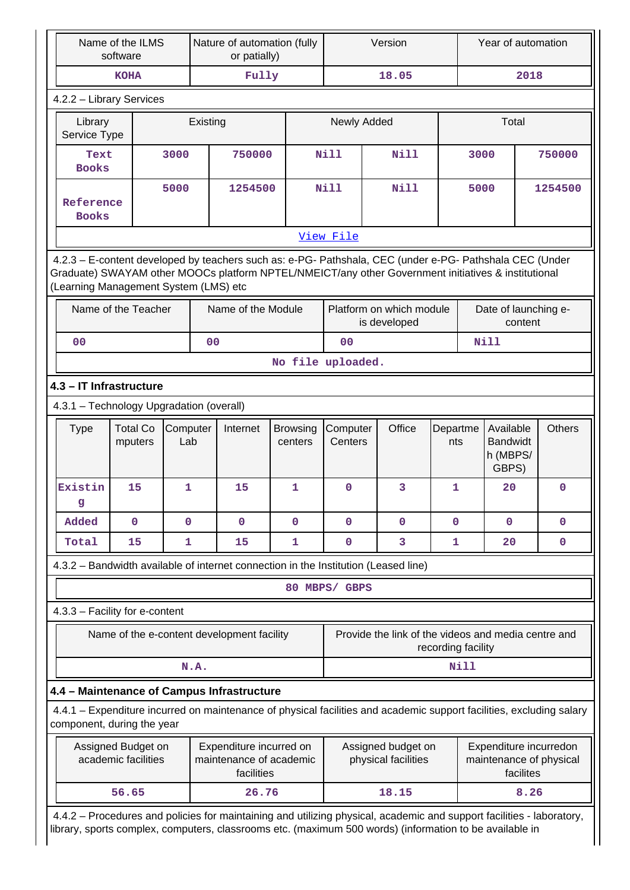| Name of the ILMS<br>software                                                                                                                       |                                                                                                                                                                                                                                                         |                 |                | Nature of automation (fully<br>or patially)                      |                            | Version             |  |                                                     | Year of automation |             |                                                   |           |                                                   |
|----------------------------------------------------------------------------------------------------------------------------------------------------|---------------------------------------------------------------------------------------------------------------------------------------------------------------------------------------------------------------------------------------------------------|-----------------|----------------|------------------------------------------------------------------|----------------------------|---------------------|--|-----------------------------------------------------|--------------------|-------------|---------------------------------------------------|-----------|---------------------------------------------------|
|                                                                                                                                                    | <b>KOHA</b>                                                                                                                                                                                                                                             |                 |                | Fully                                                            |                            |                     |  | 18.05                                               |                    |             |                                                   | 2018      |                                                   |
| 4.2.2 - Library Services                                                                                                                           |                                                                                                                                                                                                                                                         |                 |                |                                                                  |                            |                     |  |                                                     |                    |             |                                                   |           |                                                   |
| Library<br>Service Type                                                                                                                            |                                                                                                                                                                                                                                                         |                 | Existing       |                                                                  |                            | Newly Added         |  |                                                     |                    | Total       |                                                   |           |                                                   |
| Text<br><b>Books</b>                                                                                                                               |                                                                                                                                                                                                                                                         | 3000            | 750000         |                                                                  |                            | <b>Nill</b>         |  | Nill                                                |                    | 3000        |                                                   |           | 750000                                            |
| Reference<br><b>Books</b>                                                                                                                          |                                                                                                                                                                                                                                                         | 5000            |                | 1254500                                                          |                            | <b>Nill</b>         |  | Nill                                                |                    | 5000        |                                                   |           | 1254500                                           |
|                                                                                                                                                    |                                                                                                                                                                                                                                                         |                 |                |                                                                  |                            | View File           |  |                                                     |                    |             |                                                   |           |                                                   |
|                                                                                                                                                    | 4.2.3 - E-content developed by teachers such as: e-PG- Pathshala, CEC (under e-PG- Pathshala CEC (Under<br>Graduate) SWAYAM other MOOCs platform NPTEL/NMEICT/any other Government initiatives & institutional<br>(Learning Management System (LMS) etc |                 |                |                                                                  |                            |                     |  |                                                     |                    |             |                                                   |           |                                                   |
|                                                                                                                                                    | Name of the Teacher                                                                                                                                                                                                                                     |                 |                | Name of the Module                                               |                            |                     |  | Platform on which module<br>is developed            |                    |             | Date of launching e-                              | content   |                                                   |
| 0 <sup>0</sup>                                                                                                                                     |                                                                                                                                                                                                                                                         |                 | 0 <sub>0</sub> |                                                                  |                            | 0 <sub>0</sub>      |  |                                                     |                    |             | <b>Nill</b>                                       |           |                                                   |
|                                                                                                                                                    |                                                                                                                                                                                                                                                         |                 |                |                                                                  | No file uploaded.          |                     |  |                                                     |                    |             |                                                   |           |                                                   |
| 4.3 - IT Infrastructure                                                                                                                            |                                                                                                                                                                                                                                                         |                 |                |                                                                  |                            |                     |  |                                                     |                    |             |                                                   |           |                                                   |
| 4.3.1 - Technology Upgradation (overall)                                                                                                           |                                                                                                                                                                                                                                                         |                 |                |                                                                  |                            |                     |  |                                                     |                    |             |                                                   |           |                                                   |
| <b>Type</b>                                                                                                                                        | <b>Total Co</b><br>mputers                                                                                                                                                                                                                              | Computer<br>Lab |                | Internet                                                         | <b>Browsing</b><br>centers | Computer<br>Centers |  | Office                                              | Departme<br>nts    |             | Available<br><b>Bandwidt</b><br>h (MBPS/<br>GBPS) |           | <b>Others</b>                                     |
| Existin<br>q                                                                                                                                       | 15                                                                                                                                                                                                                                                      | 1               |                | 15                                                               | 1                          | $\mathbf 0$         |  | 3                                                   | 1                  |             | 20                                                |           | 0                                                 |
| Added                                                                                                                                              | $\mathbf 0$                                                                                                                                                                                                                                             | $\mathbf 0$     |                | $\mathbf 0$                                                      | $\mathbf 0$                | $\mathbf 0$         |  | $\mathbf 0$                                         | $\mathbf{0}$       |             | 0                                                 |           | $\mathbf 0$                                       |
| Total                                                                                                                                              | 15                                                                                                                                                                                                                                                      | 1               |                | 15                                                               | 1                          | $\pmb{0}$           |  | 3                                                   | 1                  |             | 20                                                |           | $\mathbf 0$                                       |
| 4.3.2 - Bandwidth available of internet connection in the Institution (Leased line)                                                                |                                                                                                                                                                                                                                                         |                 |                |                                                                  |                            |                     |  |                                                     |                    |             |                                                   |           |                                                   |
|                                                                                                                                                    |                                                                                                                                                                                                                                                         |                 |                |                                                                  |                            | 80 MBPS/ GBPS       |  |                                                     |                    |             |                                                   |           |                                                   |
| 4.3.3 - Facility for e-content                                                                                                                     |                                                                                                                                                                                                                                                         |                 |                |                                                                  |                            |                     |  |                                                     |                    |             |                                                   |           |                                                   |
|                                                                                                                                                    | Name of the e-content development facility                                                                                                                                                                                                              |                 |                |                                                                  |                            |                     |  | Provide the link of the videos and media centre and | recording facility |             |                                                   |           |                                                   |
|                                                                                                                                                    |                                                                                                                                                                                                                                                         |                 | N.A.           |                                                                  |                            |                     |  |                                                     |                    | <b>Nill</b> |                                                   |           |                                                   |
| 4.4 - Maintenance of Campus Infrastructure                                                                                                         |                                                                                                                                                                                                                                                         |                 |                |                                                                  |                            |                     |  |                                                     |                    |             |                                                   |           |                                                   |
| 4.4.1 – Expenditure incurred on maintenance of physical facilities and academic support facilities, excluding salary<br>component, during the year |                                                                                                                                                                                                                                                         |                 |                |                                                                  |                            |                     |  |                                                     |                    |             |                                                   |           |                                                   |
|                                                                                                                                                    | Assigned Budget on<br>academic facilities                                                                                                                                                                                                               |                 |                | Expenditure incurred on<br>maintenance of academic<br>facilities |                            |                     |  | Assigned budget on<br>physical facilities           |                    |             |                                                   | facilites | Expenditure incurredon<br>maintenance of physical |
|                                                                                                                                                    | 56.65                                                                                                                                                                                                                                                   |                 |                | 26.76                                                            |                            |                     |  | 18.15                                               |                    |             |                                                   | 8.26      |                                                   |
|                                                                                                                                                    | 4.4.2 - Procedures and policies for maintaining and utilizing physical, academic and support facilities - laboratory,<br>library, sports complex, computers, classrooms etc. (maximum 500 words) (information to be available in                        |                 |                |                                                                  |                            |                     |  |                                                     |                    |             |                                                   |           |                                                   |

 $\overline{\phantom{a}}$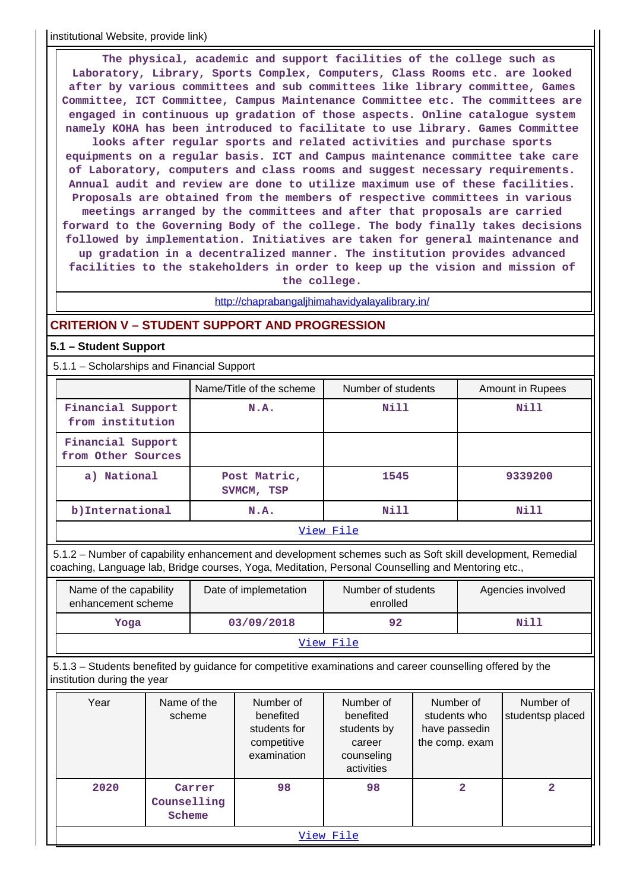institutional Website, provide link)

 **The physical, academic and support facilities of the college such as Laboratory, Library, Sports Complex, Computers, Class Rooms etc. are looked after by various committees and sub committees like library committee, Games Committee, ICT Committee, Campus Maintenance Committee etc. The committees are engaged in continuous up gradation of those aspects. Online catalogue system namely KOHA has been introduced to facilitate to use library. Games Committee looks after regular sports and related activities and purchase sports equipments on a regular basis. ICT and Campus maintenance committee take care of Laboratory, computers and class rooms and suggest necessary requirements. Annual audit and review are done to utilize maximum use of these facilities. Proposals are obtained from the members of respective committees in various meetings arranged by the committees and after that proposals are carried forward to the Governing Body of the college. The body finally takes decisions followed by implementation. Initiatives are taken for general maintenance and up gradation in a decentralized manner. The institution provides advanced facilities to the stakeholders in order to keep up the vision and mission of the college.**

<http://chaprabangaljhimahavidyalayalibrary.in/>

## **CRITERION V – STUDENT SUPPORT AND PROGRESSION**

## **5.1 – Student Support**

5.1.1 – Scholarships and Financial Support

|                                                                      | Name/Title of the scheme   | Number of students | <b>Amount in Rupees</b> |  |  |  |
|----------------------------------------------------------------------|----------------------------|--------------------|-------------------------|--|--|--|
| Financial Support<br>from institution                                | N.A.                       | Nill               | Nill                    |  |  |  |
| Financial Support<br>from Other Sources                              |                            |                    |                         |  |  |  |
| a) National                                                          | Post Matric,<br>SVMCM, TSP | 1545               | 9339200                 |  |  |  |
| b) International                                                     | N.A.                       | Nill               | Nill                    |  |  |  |
| $\pi \pi \Delta$ and $\pi \pi \Delta \Delta$ and $\pi \Delta \Delta$ |                            |                    |                         |  |  |  |

### [View File](https://assessmentonline.naac.gov.in/public/Postacc/Scholarships/19199_Scholarships_1647412524.xlsx)

 5.1.2 – Number of capability enhancement and development schemes such as Soft skill development, Remedial coaching, Language lab, Bridge courses, Yoga, Meditation, Personal Counselling and Mentoring etc.,

| Name of the capability<br>enhancement scheme | Date of implemetation | Number of students<br>enrolled | Agencies involved |  |  |  |  |
|----------------------------------------------|-----------------------|--------------------------------|-------------------|--|--|--|--|
| Yoga                                         | 03/09/2018            | 92                             | Nill              |  |  |  |  |
| View File                                    |                       |                                |                   |  |  |  |  |

 5.1.3 – Students benefited by guidance for competitive examinations and career counselling offered by the institution during the year

| Year      | Name of the<br>scheme           | Number of<br>benefited<br>students for<br>competitive<br>examination | Number of<br>benefited<br>students by<br>career<br>counseling<br>activities | Number of<br>students who<br>have passedin<br>the comp. exam | Number of<br>studentsp placed |  |  |
|-----------|---------------------------------|----------------------------------------------------------------------|-----------------------------------------------------------------------------|--------------------------------------------------------------|-------------------------------|--|--|
| 2020      | Carrer<br>Counselling<br>Scheme | 98                                                                   | 98                                                                          | 2                                                            | 2                             |  |  |
| View File |                                 |                                                                      |                                                                             |                                                              |                               |  |  |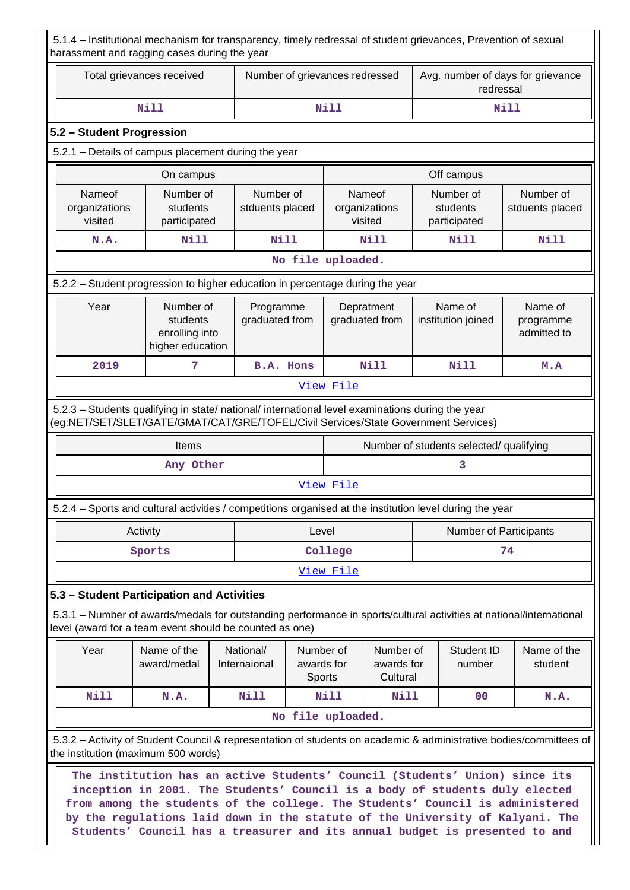5.1.4 – Institutional mechanism for transparency, timely redressal of student grievances, Prevention of sexual harassment and ragging cases during the year Total grievances received | Number of grievances redressed | Avg. number of days for grievance redressal  **Nill Nill Nill 5.2 – Student Progression** 5.2.1 – Details of campus placement during the year **On campus On campus On campus Deficiency Off campus** Nameof organizations visited Number of students participated Number of stduents placed **Namenf** organizations visited Number of students participated Number of stduents placed N.A. | Nill | Nill | Nill | Nill | Nill **No file uploaded.** 5.2.2 – Student progression to higher education in percentage during the year Year | Number of students enrolling into higher education Programme graduated from Depratment graduated from Name of institution joined Name of programme admitted to  **2019 7 B.A. Hons Nill Nill M.A** [View File](https://assessmentonline.naac.gov.in/public/Postacc/Progression/19199_Progression_1647412706.xlsx) 5.2.3 – Students qualifying in state/ national/ international level examinations during the year (eg:NET/SET/SLET/GATE/GMAT/CAT/GRE/TOFEL/Civil Services/State Government Services) Items **Number of students selected/ qualifying** Any Other 3 [View File](https://assessmentonline.naac.gov.in/public/Postacc/Qualifying/19199_Qualifying_1647413261.xlsx) 5.2.4 – Sports and cultural activities / competitions organised at the institution level during the year Activity **Activity Level** Level **Number of Participants** Sports **College 1** 24 [View File](https://assessmentonline.naac.gov.in/public/Postacc/Activities_Organised/19199_Activities_Organised_1647412902.xlsx) **5.3 – Student Participation and Activities** 5.3.1 – Number of awards/medals for outstanding performance in sports/cultural activities at national/international level (award for a team event should be counted as one) Year | Name of the award/medal National/ Internaional Number of awards for **Sports** Number of awards for **Cultural** Student ID number Name of the student  **Nill N.A. Nill Nill Nill 00 N.A. No file uploaded.** 5.3.2 – Activity of Student Council & representation of students on academic & administrative bodies/committees of the institution (maximum 500 words) **The institution has an active Students' Council (Students' Union) since its inception in 2001. The Students' Council is a body of students duly elected from among the students of the college. The Students' Council is administered by the regulations laid down in the statute of the University of Kalyani. The**

**Students' Council has a treasurer and its annual budget is presented to and**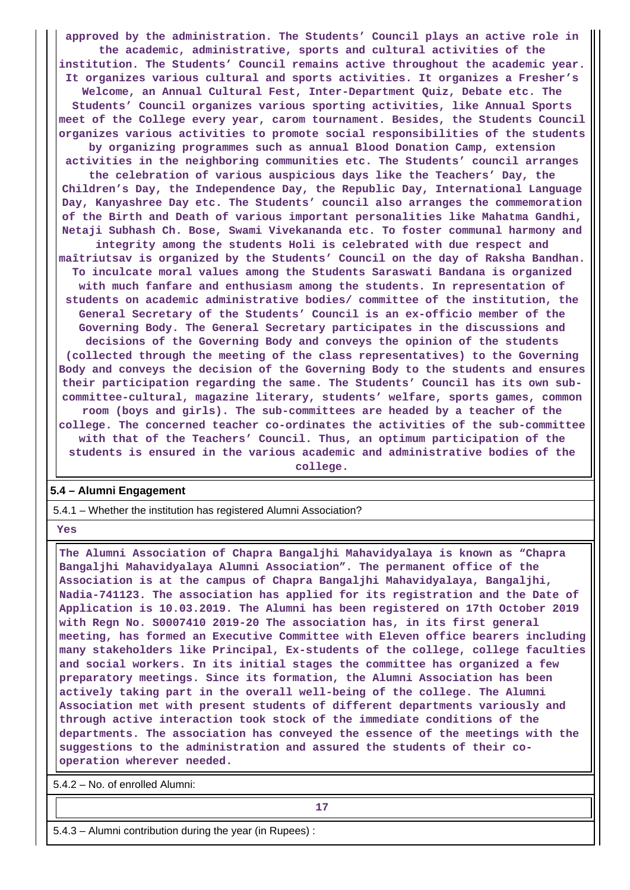**approved by the administration. The Students' Council plays an active role in the academic, administrative, sports and cultural activities of the institution. The Students' Council remains active throughout the academic year. It organizes various cultural and sports activities. It organizes a Fresher's Welcome, an Annual Cultural Fest, Inter-Department Quiz, Debate etc. The Students' Council organizes various sporting activities, like Annual Sports meet of the College every year, carom tournament. Besides, the Students Council organizes various activities to promote social responsibilities of the students by organizing programmes such as annual Blood Donation Camp, extension activities in the neighboring communities etc. The Students' council arranges the celebration of various auspicious days like the Teachers' Day, the Children's Day, the Independence Day, the Republic Day, International Language Day, Kanyashree Day etc. The Students' council also arranges the commemoration of the Birth and Death of various important personalities like Mahatma Gandhi, Netaji Subhash Ch. Bose, Swami Vivekananda etc. To foster communal harmony and integrity among the students Holi is celebrated with due respect and maîtriutsav is organized by the Students' Council on the day of Raksha Bandhan. To inculcate moral values among the Students Saraswati Bandana is organized with much fanfare and enthusiasm among the students. In representation of students on academic administrative bodies/ committee of the institution, the General Secretary of the Students' Council is an ex-officio member of the Governing Body. The General Secretary participates in the discussions and decisions of the Governing Body and conveys the opinion of the students (collected through the meeting of the class representatives) to the Governing Body and conveys the decision of the Governing Body to the students and ensures their participation regarding the same. The Students' Council has its own subcommittee-cultural, magazine literary, students' welfare, sports games, common room (boys and girls). The sub-committees are headed by a teacher of the college. The concerned teacher co-ordinates the activities of the sub-committee with that of the Teachers' Council. Thus, an optimum participation of the students is ensured in the various academic and administrative bodies of the**

**college.**

## **5.4 – Alumni Engagement**

5.4.1 – Whether the institution has registered Alumni Association?

 **Yes**

 **The Alumni Association of Chapra Bangaljhi Mahavidyalaya is known as "Chapra Bangaljhi Mahavidyalaya Alumni Association". The permanent office of the Association is at the campus of Chapra Bangaljhi Mahavidyalaya, Bangaljhi, Nadia-741123. The association has applied for its registration and the Date of Application is 10.03.2019. The Alumni has been registered on 17th October 2019 with Regn No. S0007410 2019-20 The association has, in its first general meeting, has formed an Executive Committee with Eleven office bearers including many stakeholders like Principal, Ex-students of the college, college faculties and social workers. In its initial stages the committee has organized a few preparatory meetings. Since its formation, the Alumni Association has been actively taking part in the overall well-being of the college. The Alumni Association met with present students of different departments variously and through active interaction took stock of the immediate conditions of the departments. The association has conveyed the essence of the meetings with the suggestions to the administration and assured the students of their cooperation wherever needed.**

5.4.2 – No. of enrolled Alumni:

**17**

5.4.3 – Alumni contribution during the year (in Rupees) :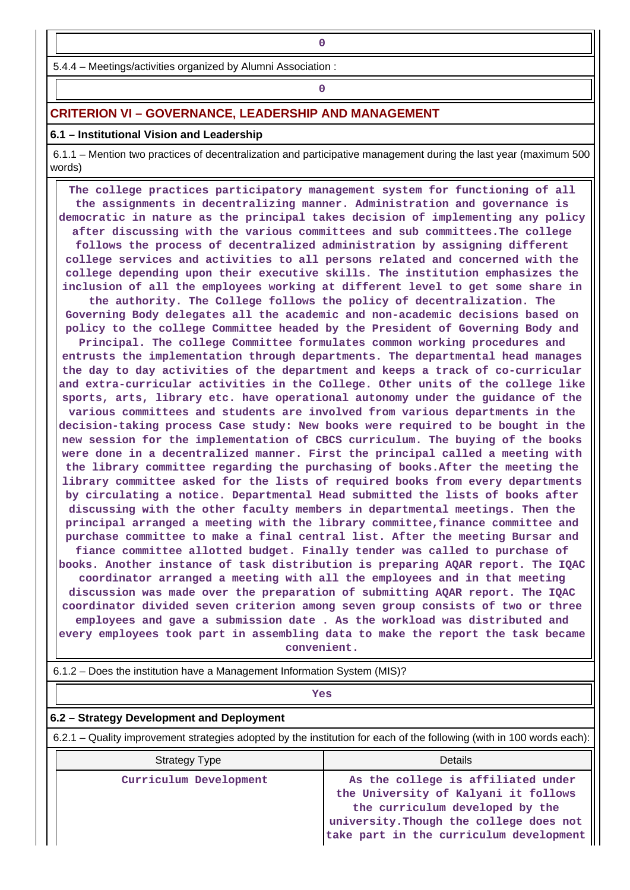5.4.4 – Meetings/activities organized by Alumni Association :

**0**

## **0**

## **CRITERION VI – GOVERNANCE, LEADERSHIP AND MANAGEMENT**

## **6.1 – Institutional Vision and Leadership**

 6.1.1 – Mention two practices of decentralization and participative management during the last year (maximum 500 words)

 **The college practices participatory management system for functioning of all the assignments in decentralizing manner. Administration and governance is democratic in nature as the principal takes decision of implementing any policy after discussing with the various committees and sub committees.The college follows the process of decentralized administration by assigning different college services and activities to all persons related and concerned with the college depending upon their executive skills. The institution emphasizes the inclusion of all the employees working at different level to get some share in the authority. The College follows the policy of decentralization. The Governing Body delegates all the academic and non-academic decisions based on policy to the college Committee headed by the President of Governing Body and Principal. The college Committee formulates common working procedures and entrusts the implementation through departments. The departmental head manages the day to day activities of the department and keeps a track of co-curricular and extra-curricular activities in the College. Other units of the college like sports, arts, library etc. have operational autonomy under the guidance of the various committees and students are involved from various departments in the decision-taking process Case study: New books were required to be bought in the new session for the implementation of CBCS curriculum. The buying of the books were done in a decentralized manner. First the principal called a meeting with the library committee regarding the purchasing of books.After the meeting the library committee asked for the lists of required books from every departments by circulating a notice. Departmental Head submitted the lists of books after discussing with the other faculty members in departmental meetings. Then the principal arranged a meeting with the library committee,finance committee and purchase committee to make a final central list. After the meeting Bursar and fiance committee allotted budget. Finally tender was called to purchase of books. Another instance of task distribution is preparing AQAR report. The IQAC coordinator arranged a meeting with all the employees and in that meeting discussion was made over the preparation of submitting AQAR report. The IQAC coordinator divided seven criterion among seven group consists of two or three employees and gave a submission date . As the workload was distributed and every employees took part in assembling data to make the report the task became convenient.**

6.1.2 – Does the institution have a Management Information System (MIS)?

## *Yes*

## **6.2 – Strategy Development and Deployment**

6.2.1 – Quality improvement strategies adopted by the institution for each of the following (with in 100 words each):

| <b>Strategy Type</b>   | Details                                                                                                                                                                                             |
|------------------------|-----------------------------------------------------------------------------------------------------------------------------------------------------------------------------------------------------|
| Curriculum Development | As the college is affiliated under<br>the University of Kalyani it follows<br>the curriculum developed by the<br>university. Though the college does not<br>take part in the curriculum development |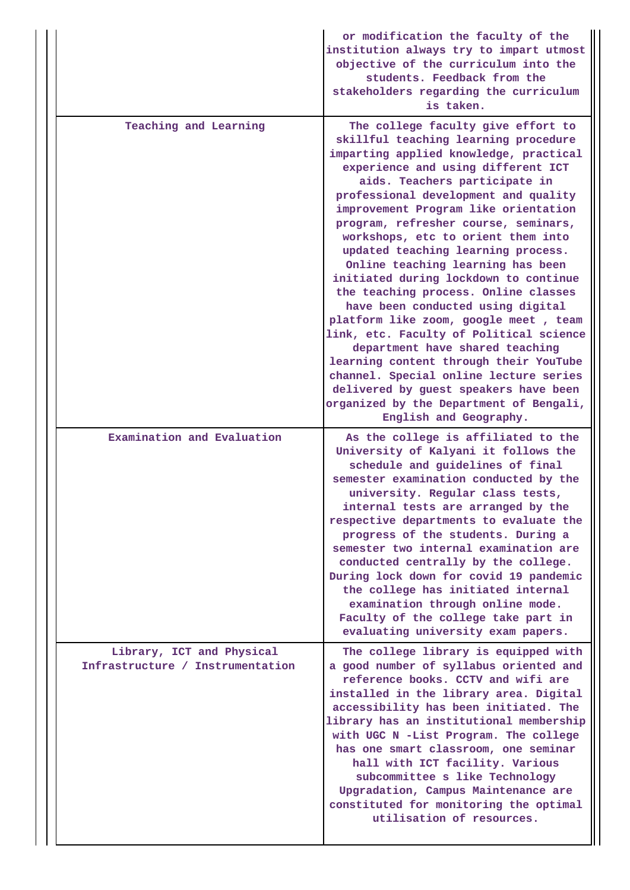|                                                               | or modification the faculty of the<br>institution always try to impart utmost<br>objective of the curriculum into the<br>students. Feedback from the<br>stakeholders regarding the curriculum<br>is taken.                                                                                                                                                                                                                                                                                                                                                                                                                                                                                                                                                                                                                                                                          |
|---------------------------------------------------------------|-------------------------------------------------------------------------------------------------------------------------------------------------------------------------------------------------------------------------------------------------------------------------------------------------------------------------------------------------------------------------------------------------------------------------------------------------------------------------------------------------------------------------------------------------------------------------------------------------------------------------------------------------------------------------------------------------------------------------------------------------------------------------------------------------------------------------------------------------------------------------------------|
| Teaching and Learning                                         | The college faculty give effort to<br>skillful teaching learning procedure<br>imparting applied knowledge, practical<br>experience and using different ICT<br>aids. Teachers participate in<br>professional development and quality<br>improvement Program like orientation<br>program, refresher course, seminars,<br>workshops, etc to orient them into<br>updated teaching learning process.<br>Online teaching learning has been<br>initiated during lockdown to continue<br>the teaching process. Online classes<br>have been conducted using digital<br>platform like zoom, google meet, team<br>link, etc. Faculty of Political science<br>department have shared teaching<br>learning content through their YouTube<br>channel. Special online lecture series<br>delivered by guest speakers have been<br>organized by the Department of Bengali,<br>English and Geography. |
| Examination and Evaluation                                    | As the college is affiliated to the<br>University of Kalyani it follows the<br>schedule and guidelines of final<br>semester examination conducted by the<br>university. Regular class tests,<br>internal tests are arranged by the<br>respective departments to evaluate the<br>progress of the students. During a<br>semester two internal examination are<br>conducted centrally by the college.<br>During lock down for covid 19 pandemic<br>the college has initiated internal<br>examination through online mode.<br>Faculty of the college take part in<br>evaluating university exam papers.                                                                                                                                                                                                                                                                                 |
| Library, ICT and Physical<br>Infrastructure / Instrumentation | The college library is equipped with<br>a good number of syllabus oriented and<br>reference books. CCTV and wifi are<br>installed in the library area. Digital<br>accessibility has been initiated. The<br>library has an institutional membership<br>with UGC N -List Program. The college<br>has one smart classroom, one seminar<br>hall with ICT facility. Various<br>subcommittee s like Technology<br>Upgradation, Campus Maintenance are<br>constituted for monitoring the optimal<br>utilisation of resources.                                                                                                                                                                                                                                                                                                                                                              |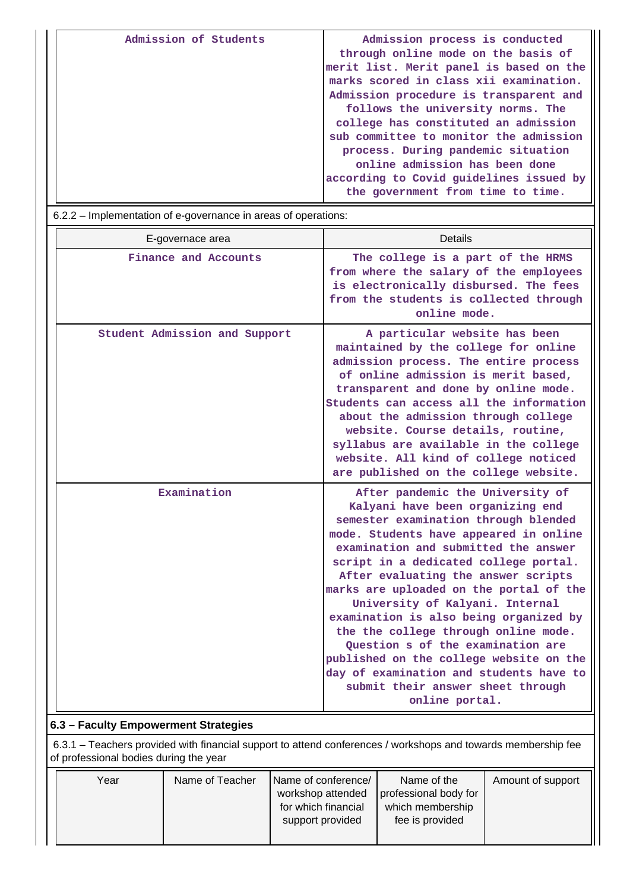| Admission of Students | Admission process is conducted<br>through online mode on the basis of |
|-----------------------|-----------------------------------------------------------------------|
|                       |                                                                       |
|                       | merit list. Merit panel is based on the                               |
|                       | marks scored in class xii examination.                                |
|                       | Admission procedure is transparent and                                |
|                       | follows the university norms. The                                     |
|                       | college has constituted an admission                                  |
|                       | sub committee to monitor the admission                                |
|                       | process. During pandemic situation                                    |
|                       | online admission has been done                                        |
|                       | according to Covid guidelines issued by                               |
|                       | the government from time to time.                                     |

6.2.2 – Implementation of e-governance in areas of operations:

| E-governace area              | <b>Details</b>                                                                                                                                                                                                                                                                                                                                                                                                                                                                                                                                                                                                                   |
|-------------------------------|----------------------------------------------------------------------------------------------------------------------------------------------------------------------------------------------------------------------------------------------------------------------------------------------------------------------------------------------------------------------------------------------------------------------------------------------------------------------------------------------------------------------------------------------------------------------------------------------------------------------------------|
| Finance and Accounts          | The college is a part of the HRMS<br>from where the salary of the employees<br>is electronically disbursed. The fees<br>from the students is collected through<br>online mode.                                                                                                                                                                                                                                                                                                                                                                                                                                                   |
| Student Admission and Support | A particular website has been<br>maintained by the college for online<br>admission process. The entire process<br>of online admission is merit based,<br>transparent and done by online mode.<br>Students can access all the information<br>about the admission through college<br>website. Course details, routine,<br>syllabus are available in the college<br>website. All kind of college noticed<br>are published on the college website.                                                                                                                                                                                   |
| Examination                   | After pandemic the University of<br>Kalyani have been organizing end<br>semester examination through blended<br>mode. Students have appeared in online<br>examination and submitted the answer<br>script in a dedicated college portal.<br>After evaluating the answer scripts<br>marks are uploaded on the portal of the<br>University of Kalyani. Internal<br>examination is also being organized by<br>the the college through online mode.<br>Question s of the examination are<br>published on the college website on the<br>day of examination and students have to<br>submit their answer sheet through<br>online portal. |

## **6.3 – Faculty Empowerment Strategies**

 6.3.1 – Teachers provided with financial support to attend conferences / workshops and towards membership fee of professional bodies during the year

| Year | Name of Teacher | Name of conference/<br>workshop attended<br>for which financial | Name of the<br>professional body for<br>which membership | Amount of support |
|------|-----------------|-----------------------------------------------------------------|----------------------------------------------------------|-------------------|
|      |                 | support provided                                                | fee is provided                                          |                   |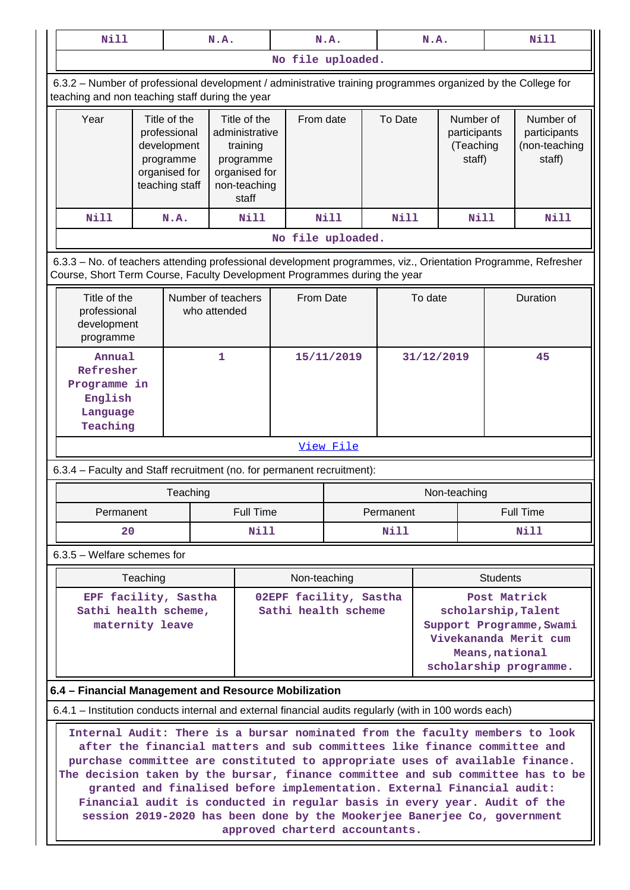| Title of the<br>administrative                                                                                                                                                                                                                                                                                                                                                                                                                                                                                                                                  |                          |         |                                                                                                                                                                 |                                                                                                                  |                                                                                                                     |                                                                                                                                                                                                                     |  |  |  |
|-----------------------------------------------------------------------------------------------------------------------------------------------------------------------------------------------------------------------------------------------------------------------------------------------------------------------------------------------------------------------------------------------------------------------------------------------------------------------------------------------------------------------------------------------------------------|--------------------------|---------|-----------------------------------------------------------------------------------------------------------------------------------------------------------------|------------------------------------------------------------------------------------------------------------------|---------------------------------------------------------------------------------------------------------------------|---------------------------------------------------------------------------------------------------------------------------------------------------------------------------------------------------------------------|--|--|--|
|                                                                                                                                                                                                                                                                                                                                                                                                                                                                                                                                                                 |                          |         |                                                                                                                                                                 | No file uploaded.                                                                                                |                                                                                                                     |                                                                                                                                                                                                                     |  |  |  |
|                                                                                                                                                                                                                                                                                                                                                                                                                                                                                                                                                                 |                          |         | 6.3.2 - Number of professional development / administrative training programmes organized by the College for<br>teaching and non teaching staff during the year |                                                                                                                  |                                                                                                                     |                                                                                                                                                                                                                     |  |  |  |
| training<br>programme<br>organised for<br>non-teaching<br>staff                                                                                                                                                                                                                                                                                                                                                                                                                                                                                                 |                          | To Date |                                                                                                                                                                 |                                                                                                                  | Number of<br>participants<br>(non-teaching<br>staff)                                                                |                                                                                                                                                                                                                     |  |  |  |
| <b>Nill</b>                                                                                                                                                                                                                                                                                                                                                                                                                                                                                                                                                     | <b>Nill</b>              |         |                                                                                                                                                                 |                                                                                                                  |                                                                                                                     | Nill                                                                                                                                                                                                                |  |  |  |
|                                                                                                                                                                                                                                                                                                                                                                                                                                                                                                                                                                 |                          |         |                                                                                                                                                                 |                                                                                                                  |                                                                                                                     |                                                                                                                                                                                                                     |  |  |  |
|                                                                                                                                                                                                                                                                                                                                                                                                                                                                                                                                                                 |                          |         |                                                                                                                                                                 |                                                                                                                  |                                                                                                                     |                                                                                                                                                                                                                     |  |  |  |
| Title of the<br>Number of teachers<br>From Date<br>To date<br>Duration<br>professional<br>who attended<br>development<br>programme                                                                                                                                                                                                                                                                                                                                                                                                                              |                          |         |                                                                                                                                                                 |                                                                                                                  |                                                                                                                     |                                                                                                                                                                                                                     |  |  |  |
|                                                                                                                                                                                                                                                                                                                                                                                                                                                                                                                                                                 |                          |         |                                                                                                                                                                 | 31/12/2019                                                                                                       |                                                                                                                     | 45                                                                                                                                                                                                                  |  |  |  |
|                                                                                                                                                                                                                                                                                                                                                                                                                                                                                                                                                                 |                          |         |                                                                                                                                                                 |                                                                                                                  |                                                                                                                     |                                                                                                                                                                                                                     |  |  |  |
|                                                                                                                                                                                                                                                                                                                                                                                                                                                                                                                                                                 |                          |         |                                                                                                                                                                 |                                                                                                                  |                                                                                                                     |                                                                                                                                                                                                                     |  |  |  |
|                                                                                                                                                                                                                                                                                                                                                                                                                                                                                                                                                                 |                          |         |                                                                                                                                                                 |                                                                                                                  |                                                                                                                     |                                                                                                                                                                                                                     |  |  |  |
|                                                                                                                                                                                                                                                                                                                                                                                                                                                                                                                                                                 |                          |         |                                                                                                                                                                 |                                                                                                                  |                                                                                                                     | <b>Full Time</b><br>Nill                                                                                                                                                                                            |  |  |  |
|                                                                                                                                                                                                                                                                                                                                                                                                                                                                                                                                                                 |                          |         |                                                                                                                                                                 |                                                                                                                  |                                                                                                                     |                                                                                                                                                                                                                     |  |  |  |
|                                                                                                                                                                                                                                                                                                                                                                                                                                                                                                                                                                 |                          |         |                                                                                                                                                                 |                                                                                                                  |                                                                                                                     |                                                                                                                                                                                                                     |  |  |  |
| Teaching<br>Post Matrick<br>EPF facility, Sastha<br>02EPF facility, Sastha<br>Sathi health scheme,<br>Sathi health scheme<br>scholarship, Talent<br>maternity leave<br>Support Programme, Swami<br>Vivekananda Merit cum<br>Means, national<br>scholarship programme.                                                                                                                                                                                                                                                                                           |                          |         |                                                                                                                                                                 |                                                                                                                  |                                                                                                                     |                                                                                                                                                                                                                     |  |  |  |
| 6.4 - Financial Management and Resource Mobilization                                                                                                                                                                                                                                                                                                                                                                                                                                                                                                            |                          |         |                                                                                                                                                                 |                                                                                                                  |                                                                                                                     |                                                                                                                                                                                                                     |  |  |  |
| 6.4.1 – Institution conducts internal and external financial audits regularly (with in 100 words each)                                                                                                                                                                                                                                                                                                                                                                                                                                                          |                          |         |                                                                                                                                                                 |                                                                                                                  |                                                                                                                     |                                                                                                                                                                                                                     |  |  |  |
| Internal Audit: There is a bursar nominated from the faculty members to look<br>after the financial matters and sub committees like finance committee and<br>purchase committee are constituted to appropriate uses of available finance.<br>The decision taken by the bursar, finance committee and sub committee has to be<br>granted and finalised before implementation. External Financial audit:<br>Financial audit is conducted in regular basis in every year. Audit of the<br>session 2019-2020 has been done by the Mookerjee Banerjee Co, government |                          |         |                                                                                                                                                                 |                                                                                                                  |                                                                                                                     |                                                                                                                                                                                                                     |  |  |  |
|                                                                                                                                                                                                                                                                                                                                                                                                                                                                                                                                                                 | Full Time<br><b>Nill</b> |         | From date<br>15/11/2019<br><u>View File</u><br>Non-teaching                                                                                                     | No file uploaded.<br>6.3.4 - Faculty and Staff recruitment (no. for permanent recruitment):<br>Permanent<br>Nill | Nill<br>Course, Short Term Course, Faculty Development Programmes during the year<br>approved charterd accountants. | Number of<br>participants<br>(Teaching<br>staff)<br><b>Nill</b><br>6.3.3 - No. of teachers attending professional development programmes, viz., Orientation Programme, Refresher<br>Non-teaching<br><b>Students</b> |  |  |  |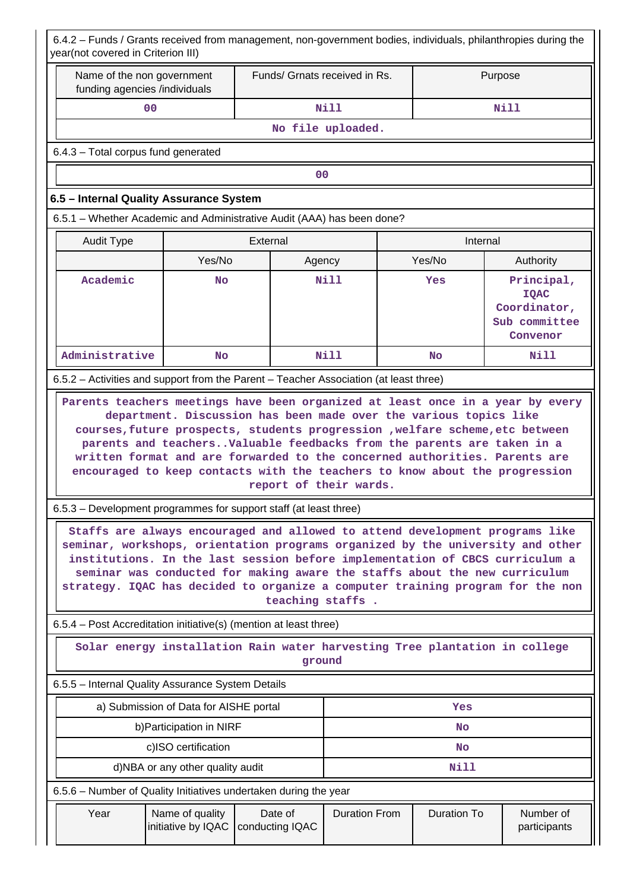| 6.4.2 - Funds / Grants received from management, non-government bodies, individuals, philanthropies during the<br>year(not covered in Criterion III)                                                                                                                                                                                                                                                                                                                                                    |                                                                                                                                                                                                                                                                                                                                                                                                                       |                                                                                      |                      |                    |                                                                        |  |
|---------------------------------------------------------------------------------------------------------------------------------------------------------------------------------------------------------------------------------------------------------------------------------------------------------------------------------------------------------------------------------------------------------------------------------------------------------------------------------------------------------|-----------------------------------------------------------------------------------------------------------------------------------------------------------------------------------------------------------------------------------------------------------------------------------------------------------------------------------------------------------------------------------------------------------------------|--------------------------------------------------------------------------------------|----------------------|--------------------|------------------------------------------------------------------------|--|
| Name of the non government<br>funding agencies /individuals                                                                                                                                                                                                                                                                                                                                                                                                                                             |                                                                                                                                                                                                                                                                                                                                                                                                                       | Funds/ Grnats received in Rs.                                                        |                      | Purpose            |                                                                        |  |
| 0 <sub>0</sub>                                                                                                                                                                                                                                                                                                                                                                                                                                                                                          |                                                                                                                                                                                                                                                                                                                                                                                                                       |                                                                                      | Nill                 | Nill               |                                                                        |  |
| No file uploaded.                                                                                                                                                                                                                                                                                                                                                                                                                                                                                       |                                                                                                                                                                                                                                                                                                                                                                                                                       |                                                                                      |                      |                    |                                                                        |  |
| 6.4.3 - Total corpus fund generated                                                                                                                                                                                                                                                                                                                                                                                                                                                                     |                                                                                                                                                                                                                                                                                                                                                                                                                       |                                                                                      |                      |                    |                                                                        |  |
|                                                                                                                                                                                                                                                                                                                                                                                                                                                                                                         |                                                                                                                                                                                                                                                                                                                                                                                                                       | 00                                                                                   |                      |                    |                                                                        |  |
| 6.5 - Internal Quality Assurance System                                                                                                                                                                                                                                                                                                                                                                                                                                                                 |                                                                                                                                                                                                                                                                                                                                                                                                                       |                                                                                      |                      |                    |                                                                        |  |
| 6.5.1 – Whether Academic and Administrative Audit (AAA) has been done?                                                                                                                                                                                                                                                                                                                                                                                                                                  |                                                                                                                                                                                                                                                                                                                                                                                                                       |                                                                                      |                      |                    |                                                                        |  |
| <b>Audit Type</b>                                                                                                                                                                                                                                                                                                                                                                                                                                                                                       |                                                                                                                                                                                                                                                                                                                                                                                                                       | External                                                                             |                      | Internal           |                                                                        |  |
|                                                                                                                                                                                                                                                                                                                                                                                                                                                                                                         | Yes/No                                                                                                                                                                                                                                                                                                                                                                                                                | Agency                                                                               |                      | Yes/No             | Authority                                                              |  |
| Academic                                                                                                                                                                                                                                                                                                                                                                                                                                                                                                | No                                                                                                                                                                                                                                                                                                                                                                                                                    |                                                                                      | Nill                 | Yes                | Principal,<br><b>IQAC</b><br>Coordinator,<br>Sub committee<br>Convenor |  |
| Administrative                                                                                                                                                                                                                                                                                                                                                                                                                                                                                          | <b>No</b>                                                                                                                                                                                                                                                                                                                                                                                                             |                                                                                      | Nill                 | <b>No</b>          | Nill                                                                   |  |
| 6.5.2 – Activities and support from the Parent – Teacher Association (at least three)                                                                                                                                                                                                                                                                                                                                                                                                                   |                                                                                                                                                                                                                                                                                                                                                                                                                       |                                                                                      |                      |                    |                                                                        |  |
|                                                                                                                                                                                                                                                                                                                                                                                                                                                                                                         | department. Discussion has been made over the various topics like<br>courses, future prospects, students progression , welfare scheme, etc between<br>parents and teachers. Valuable feedbacks from the parents are taken in a<br>written format and are forwarded to the concerned authorities. Parents are<br>encouraged to keep contacts with the teachers to know about the progression<br>report of their wards. |                                                                                      |                      |                    |                                                                        |  |
|                                                                                                                                                                                                                                                                                                                                                                                                                                                                                                         |                                                                                                                                                                                                                                                                                                                                                                                                                       |                                                                                      |                      |                    |                                                                        |  |
| 6.5.3 – Development programmes for support staff (at least three)<br>Staffs are always encouraged and allowed to attend development programs like<br>seminar, workshops, orientation programs organized by the university and other<br>institutions. In the last session before implementation of CBCS curriculum a<br>seminar was conducted for making aware the staffs about the new curriculum<br>strategy. IQAC has decided to organize a computer training program for the non<br>teaching staffs. |                                                                                                                                                                                                                                                                                                                                                                                                                       |                                                                                      |                      |                    |                                                                        |  |
| 6.5.4 - Post Accreditation initiative(s) (mention at least three)                                                                                                                                                                                                                                                                                                                                                                                                                                       |                                                                                                                                                                                                                                                                                                                                                                                                                       |                                                                                      |                      |                    |                                                                        |  |
|                                                                                                                                                                                                                                                                                                                                                                                                                                                                                                         |                                                                                                                                                                                                                                                                                                                                                                                                                       | Solar energy installation Rain water harvesting Tree plantation in college<br>ground |                      |                    |                                                                        |  |
| 6.5.5 - Internal Quality Assurance System Details                                                                                                                                                                                                                                                                                                                                                                                                                                                       |                                                                                                                                                                                                                                                                                                                                                                                                                       |                                                                                      |                      |                    |                                                                        |  |
|                                                                                                                                                                                                                                                                                                                                                                                                                                                                                                         | a) Submission of Data for AISHE portal<br>Yes                                                                                                                                                                                                                                                                                                                                                                         |                                                                                      |                      |                    |                                                                        |  |
| b) Participation in NIRF<br>No                                                                                                                                                                                                                                                                                                                                                                                                                                                                          |                                                                                                                                                                                                                                                                                                                                                                                                                       |                                                                                      |                      |                    |                                                                        |  |
| c)ISO certification<br>No                                                                                                                                                                                                                                                                                                                                                                                                                                                                               |                                                                                                                                                                                                                                                                                                                                                                                                                       |                                                                                      |                      |                    |                                                                        |  |
| <b>Nill</b><br>d)NBA or any other quality audit                                                                                                                                                                                                                                                                                                                                                                                                                                                         |                                                                                                                                                                                                                                                                                                                                                                                                                       |                                                                                      |                      |                    |                                                                        |  |
| 6.5.6 – Number of Quality Initiatives undertaken during the year                                                                                                                                                                                                                                                                                                                                                                                                                                        |                                                                                                                                                                                                                                                                                                                                                                                                                       |                                                                                      |                      |                    |                                                                        |  |
| Year                                                                                                                                                                                                                                                                                                                                                                                                                                                                                                    | Name of quality<br>initiative by IQAC                                                                                                                                                                                                                                                                                                                                                                                 | Date of<br>conducting IQAC                                                           | <b>Duration From</b> | <b>Duration To</b> | Number of<br>participants                                              |  |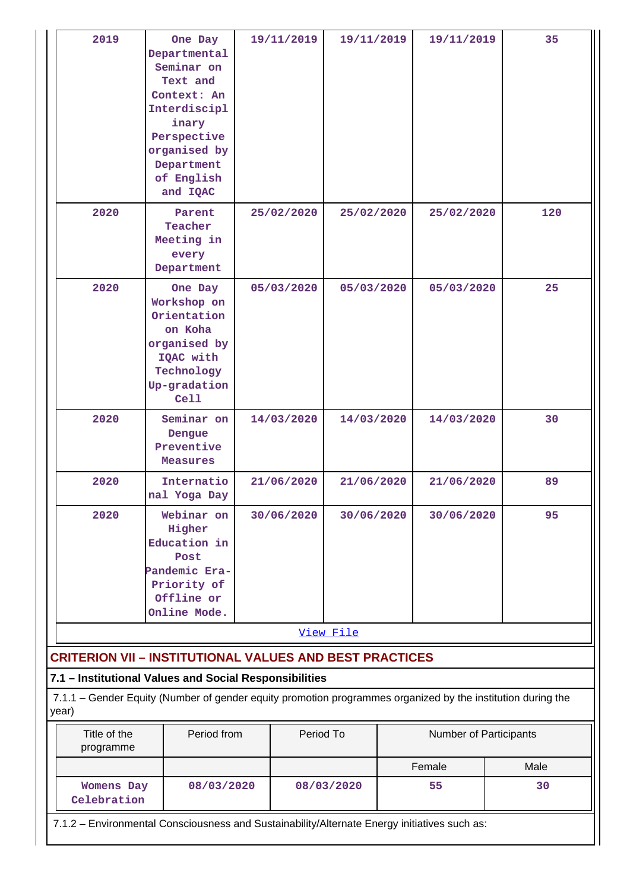| 2019                                                                                                                                                                           | One Day<br>Departmental<br>Seminar on<br>Text and<br>Context: An<br>Interdiscipl<br>inary<br>Perspective<br>organised by<br>Department<br>of English<br>and IQAC |  | 19/11/2019 | 19/11/2019 |  | 19/11/2019             | 35   |
|--------------------------------------------------------------------------------------------------------------------------------------------------------------------------------|------------------------------------------------------------------------------------------------------------------------------------------------------------------|--|------------|------------|--|------------------------|------|
| 2020                                                                                                                                                                           | Parent<br>Teacher<br>Meeting in<br>every<br>Department                                                                                                           |  | 25/02/2020 | 25/02/2020 |  | 25/02/2020             | 120  |
| 2020                                                                                                                                                                           | One Day<br>Workshop on<br>Orientation<br>on Koha<br>organised by<br>IQAC with<br>Technology<br>Up-gradation<br>Cell                                              |  | 05/03/2020 | 05/03/2020 |  | 05/03/2020             | 25   |
| 2020                                                                                                                                                                           | Seminar on<br>Dengue<br>Preventive<br>Measures                                                                                                                   |  | 14/03/2020 | 14/03/2020 |  | 14/03/2020             | 30   |
| 2020                                                                                                                                                                           | Internatio<br>nal Yoga Day                                                                                                                                       |  | 21/06/2020 | 21/06/2020 |  | 21/06/2020             | 89   |
| 2020                                                                                                                                                                           | Webinar on<br>Higher<br>Education in<br>Post<br>Pandemic Era-<br>Priority of<br>Offline or<br>Online Mode.                                                       |  | 30/06/2020 | 30/06/2020 |  | 30/06/2020             | 95   |
|                                                                                                                                                                                |                                                                                                                                                                  |  |            | View File  |  |                        |      |
| <b>CRITERION VII - INSTITUTIONAL VALUES AND BEST PRACTICES</b>                                                                                                                 |                                                                                                                                                                  |  |            |            |  |                        |      |
| 7.1 - Institutional Values and Social Responsibilities<br>7.1.1 – Gender Equity (Number of gender equity promotion programmes organized by the institution during the<br>year) |                                                                                                                                                                  |  |            |            |  |                        |      |
| Title of the<br>programme                                                                                                                                                      | Period from                                                                                                                                                      |  | Period To  |            |  | Number of Participants |      |
|                                                                                                                                                                                |                                                                                                                                                                  |  |            |            |  | Female                 | Male |
| <b>Womens Day</b><br>Celebration                                                                                                                                               | 08/03/2020                                                                                                                                                       |  |            | 08/03/2020 |  | 55                     | 30   |
| 7.1.2 - Environmental Consciousness and Sustainability/Alternate Energy initiatives such as:                                                                                   |                                                                                                                                                                  |  |            |            |  |                        |      |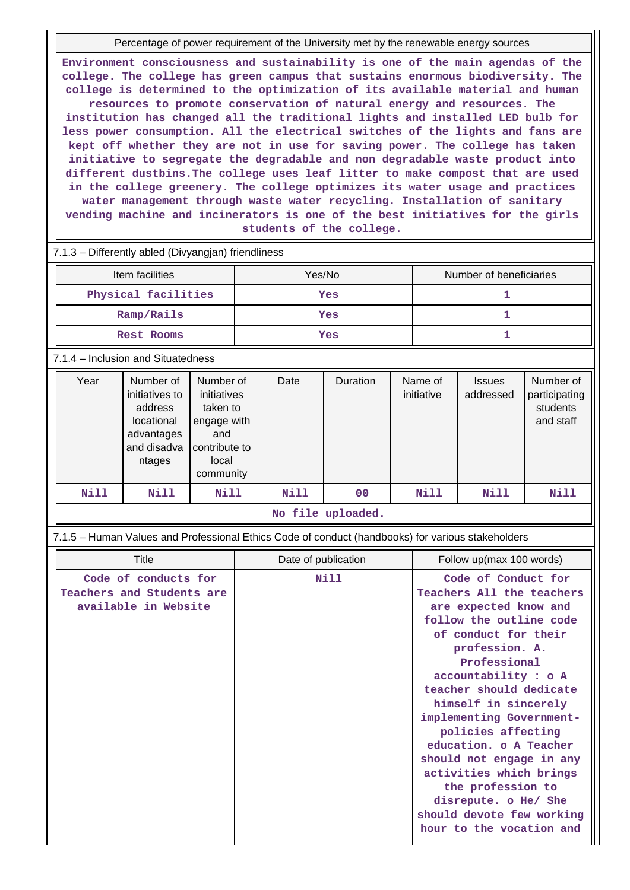Percentage of power requirement of the University met by the renewable energy sources

**Environment consciousness and sustainability is one of the main agendas of the college. The college has green campus that sustains enormous biodiversity. The college is determined to the optimization of its available material and human resources to promote conservation of natural energy and resources. The institution has changed all the traditional lights and installed LED bulb for less power consumption. All the electrical switches of the lights and fans are kept off whether they are not in use for saving power. The college has taken initiative to segregate the degradable and non degradable waste product into different dustbins.The college uses leaf litter to make compost that are used in the college greenery. The college optimizes its water usage and practices water management through waste water recycling. Installation of sanitary vending machine and incinerators is one of the best initiatives for the girls students of the college.**

# 7.1.3 – Differently abled (Divyangjan) friendliness Item facilities The Mumber of beneficiaries Note 2016. Number of beneficiaries **Physical facilities and in the Yes 1** and 1  **Ramp/Rails Yes 1 Rest Rooms Yes 1**

### 7.1.4 – Inclusion and Situatedness

| Year | Number of<br>initiatives to<br>address<br>locational<br>advantages<br>and disadva<br>ntages | Number of<br>initiatives<br>taken to<br>engage with<br>and<br>contribute to<br>local<br>community | Date | Duration | Name of<br>initiative | <b>Issues</b><br>addressed | Number of<br>participating<br>students<br>and staff |
|------|---------------------------------------------------------------------------------------------|---------------------------------------------------------------------------------------------------|------|----------|-----------------------|----------------------------|-----------------------------------------------------|
| Nill | Nill                                                                                        | Nill                                                                                              | Nill | 00       | Nill                  | Nill                       | Nill                                                |

#### **No file uploaded.**

7.1.5 – Human Values and Professional Ethics Code of conduct (handbooks) for various stakeholders

| Title                     | Date of publication | Follow up(max 100 words)  |
|---------------------------|---------------------|---------------------------|
| Code of conducts for      | Nill                | Code of Conduct for       |
| Teachers and Students are |                     | Teachers All the teachers |
| available in Website      |                     | are expected know and     |
|                           |                     | follow the outline code   |
|                           |                     | of conduct for their      |
|                           |                     | profession. A.            |
|                           |                     | Professional              |
|                           |                     | accountability : o A      |
|                           |                     | teacher should dedicate   |
|                           |                     | himself in sincerely      |
|                           |                     | implementing Government-  |
|                           |                     | policies affecting        |
|                           |                     | education. o A Teacher    |
|                           |                     | should not engage in any  |
|                           |                     | activities which brings   |
|                           |                     | the profession to         |
|                           |                     | disrepute. o He/ She      |
|                           |                     | should devote few working |
|                           |                     | hour to the vocation and  |
|                           |                     |                           |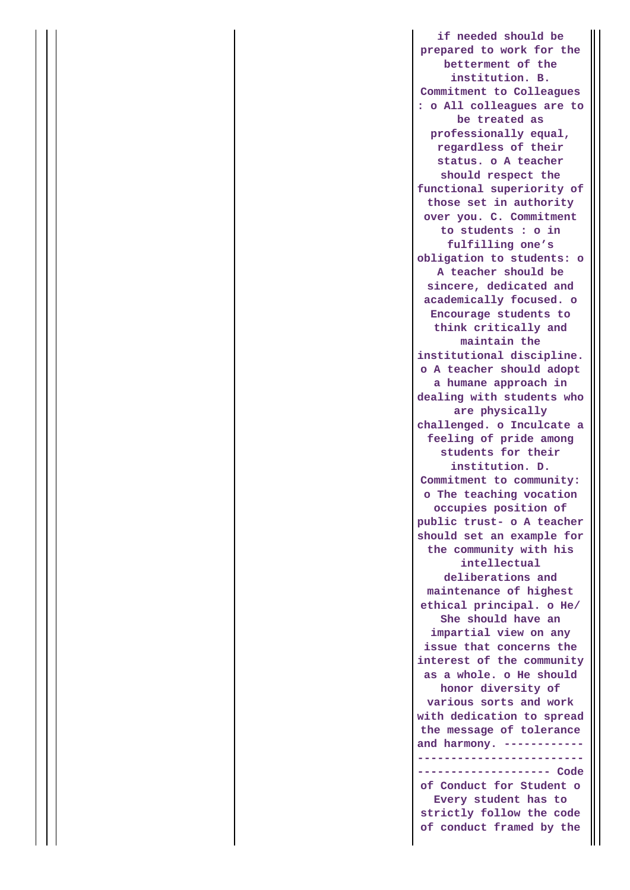**if needed should be prepared to work for the betterment of the institution. B. Commitment to Colleagues : o All colleagues are to be treated as professionally equal, regardless of their status. o A teacher should respect the functional superiority of those set in authority over you. C. Commitment to students : o in fulfilling one's obligation to students: o A teacher should be sincere, dedicated and academically focused. o Encourage students to think critically and maintain the institutional discipline. o A teacher should adopt a humane approach in dealing with students who are physically challenged. o Inculcate a feeling of pride among students for their institution. D. Commitment to community: o The teaching vocation occupies position of public trust- o A teacher should set an example for the community with his intellectual deliberations and maintenance of highest ethical principal. o He/ She should have an impartial view on any issue that concerns the interest of the community as a whole. o He should honor diversity of various sorts and work with dedication to spread the message of tolerance and harmony. ------------ ------------------------- -------------------- Code of Conduct for Student o Every student has to strictly follow the code of conduct framed by the**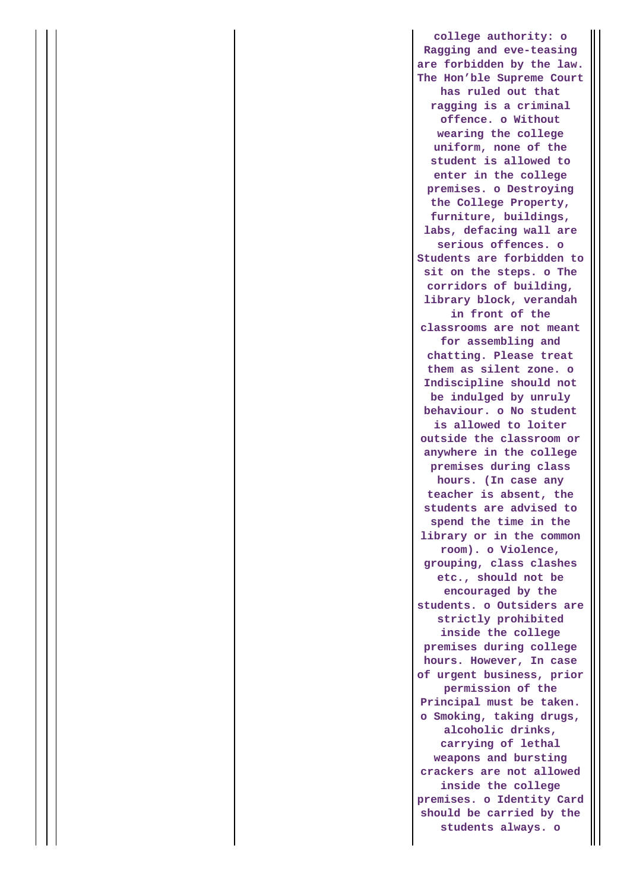**college authority: o Ragging and eve-teasing are forbidden by the law. The Hon'ble Supreme Court has ruled out that ragging is a criminal offence. o Without wearing the college uniform, none of the student is allowed to enter in the college premises. o Destroying the College Property, furniture, buildings, labs, defacing wall are serious offences. o Students are forbidden to sit on the steps. o The corridors of building, library block, verandah in front of the classrooms are not meant for assembling and chatting. Please treat them as silent zone. o Indiscipline should not be indulged by unruly behaviour. o No student is allowed to loiter outside the classroom or anywhere in the college premises during class hours. (In case any teacher is absent, the students are advised to spend the time in the library or in the common room). o Violence, grouping, class clashes etc., should not be encouraged by the students. o Outsiders are strictly prohibited inside the college premises during college hours. However, In case of urgent business, prior permission of the Principal must be taken. o Smoking, taking drugs, alcoholic drinks, carrying of lethal weapons and bursting crackers are not allowed inside the college premises. o Identity Card should be carried by the students always. o**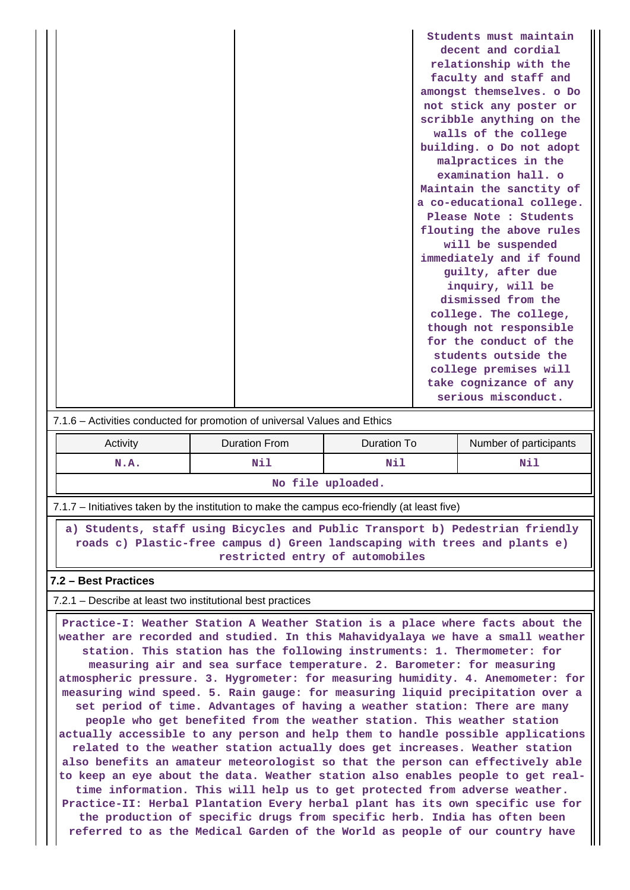|                                                                           |               |                          |                    | Students must maintain    |  |  |
|---------------------------------------------------------------------------|---------------|--------------------------|--------------------|---------------------------|--|--|
|                                                                           |               |                          | decent and cordial |                           |  |  |
|                                                                           |               |                          |                    | relationship with the     |  |  |
|                                                                           |               | faculty and staff and    |                    |                           |  |  |
|                                                                           |               | amongst themselves. o Do |                    |                           |  |  |
|                                                                           |               |                          |                    | not stick any poster or   |  |  |
|                                                                           |               |                          |                    | scribble anything on the  |  |  |
|                                                                           |               |                          |                    | walls of the college      |  |  |
|                                                                           |               |                          |                    | building. o Do not adopt  |  |  |
|                                                                           |               |                          |                    | malpractices in the       |  |  |
|                                                                           |               |                          |                    | examination hall. o       |  |  |
|                                                                           |               |                          |                    | Maintain the sanctity of  |  |  |
|                                                                           |               |                          |                    | a co-educational college. |  |  |
|                                                                           |               |                          |                    | Please Note : Students    |  |  |
|                                                                           |               |                          |                    | flouting the above rules  |  |  |
|                                                                           |               |                          |                    | will be suspended         |  |  |
|                                                                           |               |                          |                    | immediately and if found  |  |  |
|                                                                           |               |                          |                    | guilty, after due         |  |  |
|                                                                           |               |                          |                    | inquiry, will be          |  |  |
|                                                                           |               |                          |                    | dismissed from the        |  |  |
|                                                                           |               |                          |                    | college. The college,     |  |  |
|                                                                           |               |                          |                    | though not responsible    |  |  |
|                                                                           |               |                          |                    | for the conduct of the    |  |  |
|                                                                           |               |                          |                    | students outside the      |  |  |
|                                                                           |               |                          |                    | college premises will     |  |  |
|                                                                           |               |                          |                    | take cognizance of any    |  |  |
|                                                                           |               |                          |                    | serious misconduct.       |  |  |
| 7.1.6 - Activities conducted for promotion of universal Values and Ethics |               |                          |                    |                           |  |  |
| <b>Activity</b>                                                           | Duration From | Duration To              |                    | Number of participante    |  |  |

| From<br>Duration<br>Duration<br>Activity<br>l C | Number of participants |
|-------------------------------------------------|------------------------|

| N.A. |  |  |  |
|------|--|--|--|
|      |  |  |  |

7.1.7 – Initiatives taken by the institution to make the campus eco-friendly (at least five)

 **a) Students, staff using Bicycles and Public Transport b) Pedestrian friendly roads c) Plastic-free campus d) Green landscaping with trees and plants e) restricted entry of automobiles**

## **7.2 – Best Practices**

 $\mathbf{1}$ 

7.2.1 – Describe at least two institutional best practices

 **Practice-I: Weather Station A Weather Station is a place where facts about the weather are recorded and studied. In this Mahavidyalaya we have a small weather station. This station has the following instruments: 1. Thermometer: for measuring air and sea surface temperature. 2. Barometer: for measuring atmospheric pressure. 3. Hygrometer: for measuring humidity. 4. Anemometer: for measuring wind speed. 5. Rain gauge: for measuring liquid precipitation over a set period of time. Advantages of having a weather station: There are many people who get benefited from the weather station. This weather station actually accessible to any person and help them to handle possible applications related to the weather station actually does get increases. Weather station also benefits an amateur meteorologist so that the person can effectively able to keep an eye about the data. Weather station also enables people to get realtime information. This will help us to get protected from adverse weather. Practice-II: Herbal Plantation Every herbal plant has its own specific use for the production of specific drugs from specific herb. India has often been referred to as the Medical Garden of the World as people of our country have**